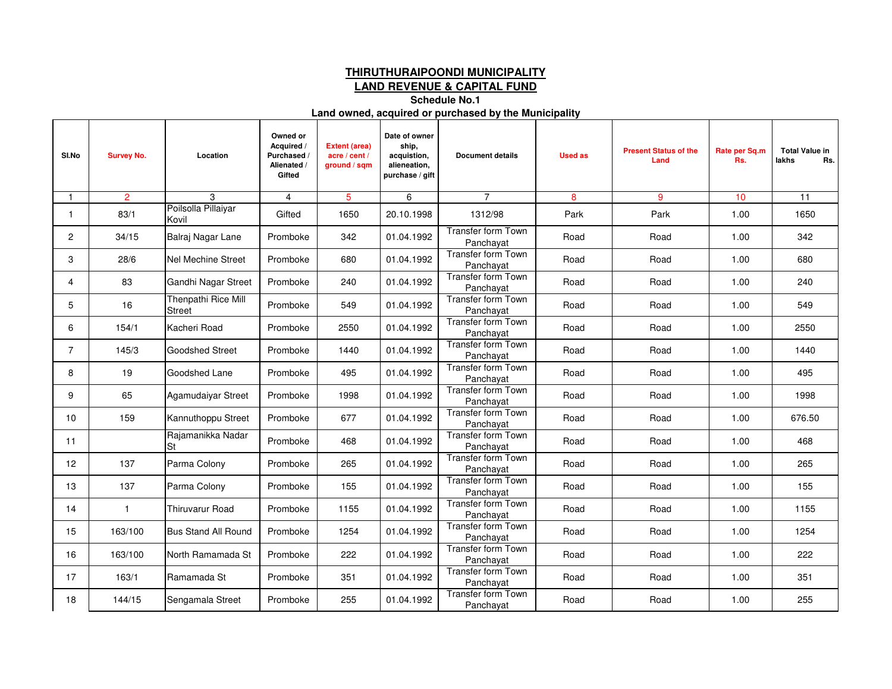## **THIRUTHURAIPOONDI MUNICIPALITY**

**LAND REVENUE & CAPITAL FUND**

**Schedule No.1**

#### **Land owned, acquired or purchased by the Municipality**

| SI.No          | <b>Survey No.</b> | Location                             | Owned or<br>Acquired /<br>Purchased /<br>Alienated /<br>Gifted | <b>Extent (area)</b><br>acre / cent /<br>ground / sqm | Date of owner<br>ship,<br>acquistion,<br>alieneation,<br>purchase / gift | <b>Document details</b>         | <b>Used as</b> | <b>Present Status of the</b><br>Land | Rate per Sq.m<br>Rs. | <b>Total Value in</b><br>lakhs<br>Rs. |
|----------------|-------------------|--------------------------------------|----------------------------------------------------------------|-------------------------------------------------------|--------------------------------------------------------------------------|---------------------------------|----------------|--------------------------------------|----------------------|---------------------------------------|
| $\overline{1}$ | 2                 | 3                                    | $\overline{4}$                                                 | $5\overline{5}$                                       | 6                                                                        | $\overline{7}$                  | 8              | 9                                    | 10                   | 11                                    |
| 1              | 83/1              | Poilsolla Pillaiyar<br>Kovil         | Gifted                                                         | 1650                                                  | 20.10.1998                                                               | 1312/98                         | Park           | Park                                 | 1.00                 | 1650                                  |
| $\overline{2}$ | 34/15             | Balraj Nagar Lane                    | Promboke                                                       | 342                                                   | 01.04.1992                                                               | Transfer form Town<br>Panchayat | Road           | Road                                 | 1.00                 | 342                                   |
| 3              | 28/6              | Nel Mechine Street                   | Promboke                                                       | 680                                                   | 01.04.1992                                                               | Transfer form Town<br>Panchayat | Road           | Road                                 | 1.00                 | 680                                   |
| 4              | 83                | Gandhi Nagar Street                  | Promboke                                                       | 240                                                   | 01.04.1992                                                               | Transfer form Town<br>Panchayat | Road           | Road                                 | 1.00                 | 240                                   |
| 5              | 16                | Thenpathi Rice Mill<br><b>Street</b> | Promboke                                                       | 549                                                   | 01.04.1992                                                               | Transfer form Town<br>Panchayat | Road           | Road                                 | 1.00                 | 549                                   |
| 6              | 154/1             | Kacheri Road                         | Promboke                                                       | 2550                                                  | 01.04.1992                                                               | Transfer form Town<br>Panchayat | Road           | Road                                 | 1.00                 | 2550                                  |
| $\overline{7}$ | 145/3             | <b>Goodshed Street</b>               | Promboke                                                       | 1440                                                  | 01.04.1992                                                               | Transfer form Town<br>Panchayat | Road           | Road                                 | 1.00                 | 1440                                  |
| 8              | 19                | Goodshed Lane                        | Promboke                                                       | 495                                                   | 01.04.1992                                                               | Transfer form Town<br>Panchayat | Road           | Road                                 | 1.00                 | 495                                   |
| 9              | 65                | Agamudaiyar Street                   | Promboke                                                       | 1998                                                  | 01.04.1992                                                               | Transfer form Town<br>Panchayat | Road           | Road                                 | 1.00                 | 1998                                  |
| 10             | 159               | Kannuthoppu Street                   | Promboke                                                       | 677                                                   | 01.04.1992                                                               | Transfer form Town<br>Panchayat | Road           | Road                                 | 1.00                 | 676.50                                |
| 11             |                   | Rajamanikka Nadar<br>'St             | Promboke                                                       | 468                                                   | 01.04.1992                                                               | Transfer form Town<br>Panchayat | Road           | Road                                 | 1.00                 | 468                                   |
| 12             | 137               | Parma Colony                         | Promboke                                                       | 265                                                   | 01.04.1992                                                               | Transfer form Town<br>Panchayat | Road           | Road                                 | 1.00                 | 265                                   |
| 13             | 137               | Parma Colony                         | Promboke                                                       | 155                                                   | 01.04.1992                                                               | Transfer form Town<br>Panchayat | Road           | Road                                 | 1.00                 | 155                                   |
| 14             | $\mathbf{1}$      | <b>Thiruvarur Road</b>               | Promboke                                                       | 1155                                                  | 01.04.1992                                                               | Transfer form Town<br>Panchayat | Road           | Road                                 | 1.00                 | 1155                                  |
| 15             | 163/100           | <b>Bus Stand All Round</b>           | Promboke                                                       | 1254                                                  | 01.04.1992                                                               | Transfer form Town<br>Panchayat | Road           | Road                                 | 1.00                 | 1254                                  |
| 16             | 163/100           | North Ramamada St                    | Promboke                                                       | 222                                                   | 01.04.1992                                                               | Transfer form Town<br>Panchavat | Road           | Road                                 | 1.00                 | 222                                   |
| 17             | 163/1             | Ramamada St                          | Promboke                                                       | 351                                                   | 01.04.1992                                                               | Transfer form Town<br>Panchayat | Road           | Road                                 | 1.00                 | 351                                   |
| 18             | 144/15            | Sengamala Street                     | Promboke                                                       | 255                                                   | 01.04.1992                                                               | Transfer form Town<br>Panchayat | Road           | Road                                 | 1.00                 | 255                                   |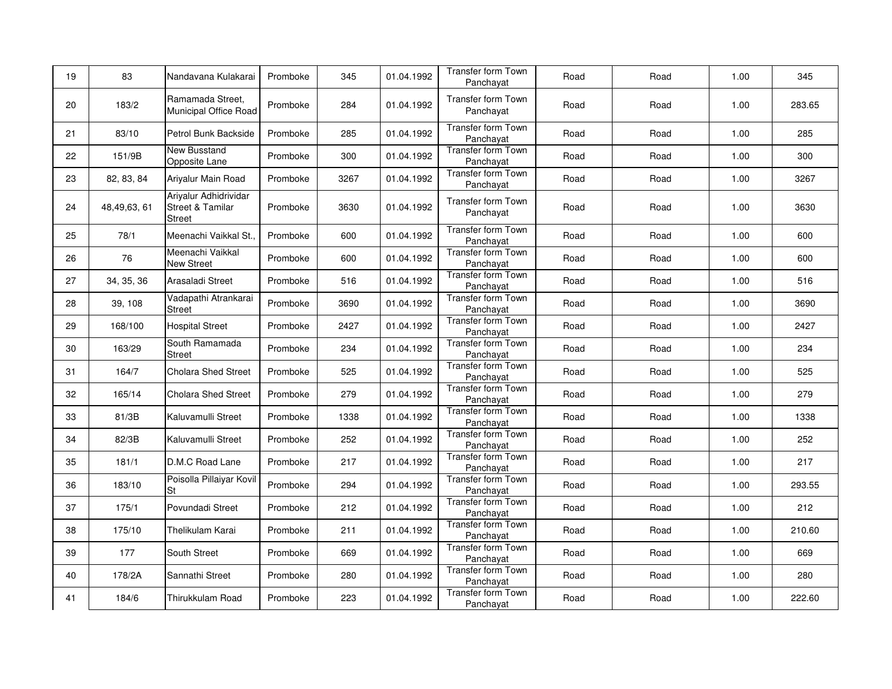| 19 | 83          | Nandavana Kulakarai                                                   | Promboke | 345  | 01.04.1992 | <b>Transfer form Town</b><br>Panchayat | Road | Road | 1.00 | 345    |
|----|-------------|-----------------------------------------------------------------------|----------|------|------------|----------------------------------------|------|------|------|--------|
| 20 | 183/2       | Ramamada Street.<br>Municipal Office Road                             | Promboke | 284  | 01.04.1992 | Transfer form Town<br>Panchayat        | Road | Road | 1.00 | 283.65 |
| 21 | 83/10       | Petrol Bunk Backside                                                  | Promboke | 285  | 01.04.1992 | Transfer form Town<br>Panchayat        | Road | Road | 1.00 | 285    |
| 22 | 151/9B      | New Busstand<br>Opposite Lane                                         | Promboke | 300  | 01.04.1992 | Transfer form Town<br>Panchayat        | Road | Road | 1.00 | 300    |
| 23 | 82, 83, 84  | Ariyalur Main Road                                                    | Promboke | 3267 | 01.04.1992 | Transfer form Town<br>Panchayat        | Road | Road | 1.00 | 3267   |
| 24 | 48,49,63,61 | Ariyalur Adhidrividar<br><b>Street &amp; Tamilar</b><br><b>Street</b> | Promboke | 3630 | 01.04.1992 | <b>Transfer form Town</b><br>Panchayat | Road | Road | 1.00 | 3630   |
| 25 | 78/1        | Meenachi Vaikkal St.,                                                 | Promboke | 600  | 01.04.1992 | Transfer form Town<br>Panchayat        | Road | Road | 1.00 | 600    |
| 26 | 76          | Meenachi Vaikkal<br><b>New Street</b>                                 | Promboke | 600  | 01.04.1992 | Transfer form Town<br>Panchayat        | Road | Road | 1.00 | 600    |
| 27 | 34, 35, 36  | Arasaladi Street                                                      | Promboke | 516  | 01.04.1992 | <b>Transfer form Town</b><br>Panchayat | Road | Road | 1.00 | 516    |
| 28 | 39, 108     | Vadapathi Atrankarai<br><b>Street</b>                                 | Promboke | 3690 | 01.04.1992 | Transfer form Town<br>Panchayat        | Road | Road | 1.00 | 3690   |
| 29 | 168/100     | <b>Hospital Street</b>                                                | Promboke | 2427 | 01.04.1992 | <b>Transfer form Town</b><br>Panchayat | Road | Road | 1.00 | 2427   |
| 30 | 163/29      | South Ramamada<br><b>Street</b>                                       | Promboke | 234  | 01.04.1992 | <b>Transfer form Town</b><br>Panchayat | Road | Road | 1.00 | 234    |
| 31 | 164/7       | Cholara Shed Street                                                   | Promboke | 525  | 01.04.1992 | Transfer form Town<br>Panchayat        | Road | Road | 1.00 | 525    |
| 32 | 165/14      | <b>Cholara Shed Street</b>                                            | Promboke | 279  | 01.04.1992 | <b>Transfer form Town</b><br>Panchayat | Road | Road | 1.00 | 279    |
| 33 | 81/3B       | Kaluvamulli Street                                                    | Promboke | 1338 | 01.04.1992 | Transfer form Town<br>Panchayat        | Road | Road | 1.00 | 1338   |
| 34 | 82/3B       | Kaluvamulli Street                                                    | Promboke | 252  | 01.04.1992 | <b>Transfer form Town</b><br>Panchayat | Road | Road | 1.00 | 252    |
| 35 | 181/1       | D.M.C Road Lane                                                       | Promboke | 217  | 01.04.1992 | Transfer form Town<br>Panchayat        | Road | Road | 1.00 | 217    |
| 36 | 183/10      | Poisolla Pillaiyar Kovil<br><b>St</b>                                 | Promboke | 294  | 01.04.1992 | Transfer form Town<br>Panchayat        | Road | Road | 1.00 | 293.55 |
| 37 | 175/1       | Povundadi Street                                                      | Promboke | 212  | 01.04.1992 | Transfer form Town<br>Panchayat        | Road | Road | 1.00 | 212    |
| 38 | 175/10      | Thelikulam Karai                                                      | Promboke | 211  | 01.04.1992 | Transfer form Town<br>Panchayat        | Road | Road | 1.00 | 210.60 |
| 39 | 177         | South Street                                                          | Promboke | 669  | 01.04.1992 | <b>Transfer form Town</b><br>Panchayat | Road | Road | 1.00 | 669    |
| 40 | 178/2A      | Sannathi Street                                                       | Promboke | 280  | 01.04.1992 | Transfer form Town<br>Panchayat        | Road | Road | 1.00 | 280    |
| 41 | 184/6       | Thirukkulam Road                                                      | Promboke | 223  | 01.04.1992 | Transfer form Town<br>Panchayat        | Road | Road | 1.00 | 222.60 |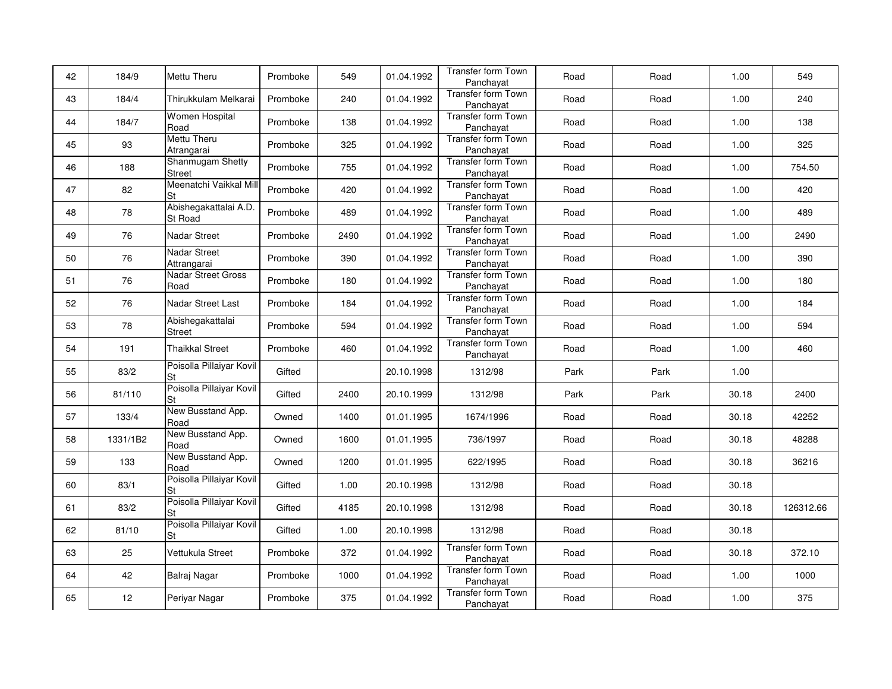| 42 | 184/9    | Mettu Theru                           | Promboke | 549  | 01.04.1992 | Transfer form Town<br>Panchayat        | Road | Road | 1.00  | 549       |
|----|----------|---------------------------------------|----------|------|------------|----------------------------------------|------|------|-------|-----------|
| 43 | 184/4    | Thirukkulam Melkarai                  | Promboke | 240  | 01.04.1992 | <b>Transfer form Town</b><br>Panchayat | Road | Road | 1.00  | 240       |
| 44 | 184/7    | <b>Women Hospital</b><br>Road         | Promboke | 138  | 01.04.1992 | <b>Transfer form Town</b><br>Panchayat | Road | Road | 1.00  | 138       |
| 45 | 93       | Mettu Theru<br>Atrangarai             | Promboke | 325  | 01.04.1992 | <b>Transfer form Town</b><br>Panchayat | Road | Road | 1.00  | 325       |
| 46 | 188      | Shanmugam Shetty<br>Street            | Promboke | 755  | 01.04.1992 | <b>Transfer form Town</b><br>Panchayat | Road | Road | 1.00  | 754.50    |
| 47 | 82       | Meenatchi Vaikkal Mill<br>St          | Promboke | 420  | 01.04.1992 | Transfer form Town<br>Panchayat        | Road | Road | 1.00  | 420       |
| 48 | 78       | Abishegakattalai A.D.<br>St Road      | Promboke | 489  | 01.04.1992 | Transfer form Town<br>Panchayat        | Road | Road | 1.00  | 489       |
| 49 | 76       | Nadar Street                          | Promboke | 2490 | 01.04.1992 | Transfer form Town<br>Panchayat        | Road | Road | 1.00  | 2490      |
| 50 | 76       | <b>Nadar Street</b><br>Attrangarai    | Promboke | 390  | 01.04.1992 | Transfer form Town<br>Panchayat        | Road | Road | 1.00  | 390       |
| 51 | 76       | Nadar Street Gross<br>Road            | Promboke | 180  | 01.04.1992 | <b>Transfer form Town</b><br>Panchayat | Road | Road | 1.00  | 180       |
| 52 | 76       | Nadar Street Last                     | Promboke | 184  | 01.04.1992 | <b>Transfer form Town</b><br>Panchayat | Road | Road | 1.00  | 184       |
| 53 | 78       | Abishegakattalai<br>Street            | Promboke | 594  | 01.04.1992 | <b>Transfer form Town</b><br>Panchayat | Road | Road | 1.00  | 594       |
| 54 | 191      | <b>Thaikkal Street</b>                | Promboke | 460  | 01.04.1992 | <b>Transfer form Town</b><br>Panchayat | Road | Road | 1.00  | 460       |
| 55 | 83/2     | Poisolla Pillaiyar Kovil<br>St        | Gifted   |      | 20.10.1998 | 1312/98                                | Park | Park | 1.00  |           |
| 56 | 81/110   | Poisolla Pillaiyar Kovil<br>St        | Gifted   | 2400 | 20.10.1999 | 1312/98                                | Park | Park | 30.18 | 2400      |
| 57 | 133/4    | New Busstand App.<br>Road             | Owned    | 1400 | 01.01.1995 | 1674/1996                              | Road | Road | 30.18 | 42252     |
| 58 | 1331/1B2 | New Busstand App.<br>Road             | Owned    | 1600 | 01.01.1995 | 736/1997                               | Road | Road | 30.18 | 48288     |
| 59 | 133      | New Busstand App.<br>Road             | Owned    | 1200 | 01.01.1995 | 622/1995                               | Road | Road | 30.18 | 36216     |
| 60 | 83/1     | Poisolla Pillaiyar Kovil<br><b>St</b> | Gifted   | 1.00 | 20.10.1998 | 1312/98                                | Road | Road | 30.18 |           |
| 61 | 83/2     | Poisolla Pillaiyar Kovil<br>St        | Gifted   | 4185 | 20.10.1998 | 1312/98                                | Road | Road | 30.18 | 126312.66 |
| 62 | 81/10    | Poisolla Pillaiyar Kovil<br>St        | Gifted   | 1.00 | 20.10.1998 | 1312/98                                | Road | Road | 30.18 |           |
| 63 | 25       | Vettukula Street                      | Promboke | 372  | 01.04.1992 | <b>Transfer form Town</b><br>Panchayat | Road | Road | 30.18 | 372.10    |
| 64 | 42       | Balraj Nagar                          | Promboke | 1000 | 01.04.1992 | <b>Transfer form Town</b><br>Panchayat | Road | Road | 1.00  | 1000      |
| 65 | 12       | Periyar Nagar                         | Promboke | 375  | 01.04.1992 | <b>Transfer form Town</b><br>Panchayat | Road | Road | 1.00  | 375       |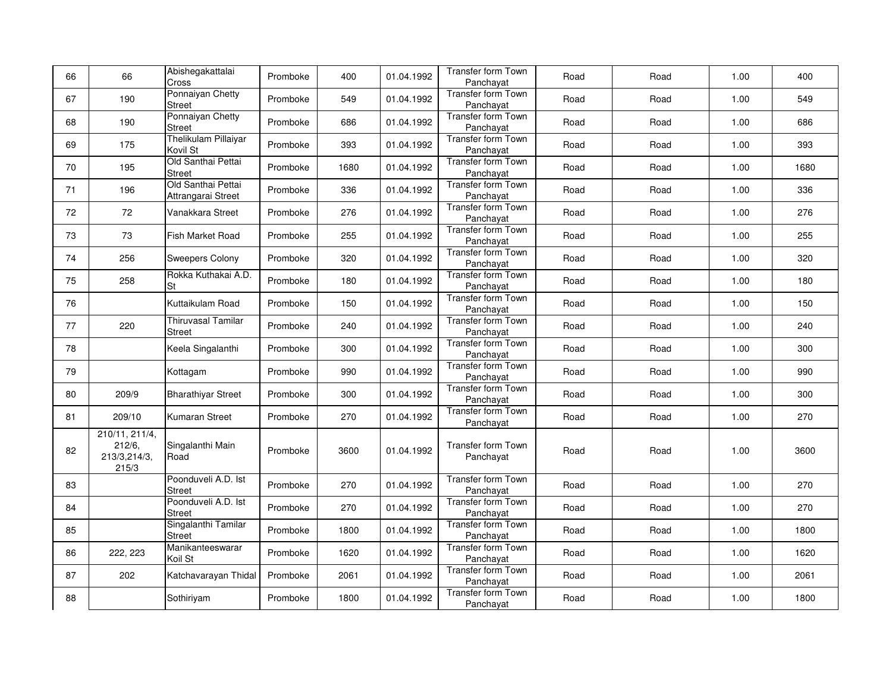| 66 | 66                                                | Abishegakattalai<br>Cross                  | Promboke | 400  | 01.04.1992 | <b>Transfer form Town</b><br>Panchayat | Road | Road | 1.00 | 400  |
|----|---------------------------------------------------|--------------------------------------------|----------|------|------------|----------------------------------------|------|------|------|------|
| 67 | 190                                               | Ponnaiyan Chetty<br><b>Street</b>          | Promboke | 549  | 01.04.1992 | Transfer form Town<br>Panchayat        | Road | Road | 1.00 | 549  |
| 68 | 190                                               | Ponnaiyan Chetty<br><b>Street</b>          | Promboke | 686  | 01.04.1992 | <b>Transfer form Town</b><br>Panchayat | Road | Road | 1.00 | 686  |
| 69 | 175                                               | Thelikulam Pillaiyar<br>Kovil St           | Promboke | 393  | 01.04.1992 | <b>Transfer form Town</b><br>Panchayat | Road | Road | 1.00 | 393  |
| 70 | 195                                               | Old Santhai Pettai<br><b>Street</b>        | Promboke | 1680 | 01.04.1992 | <b>Transfer form Town</b><br>Panchayat | Road | Road | 1.00 | 1680 |
| 71 | 196                                               | Old Santhai Pettai<br>Attrangarai Street   | Promboke | 336  | 01.04.1992 | <b>Transfer form Town</b><br>Panchayat | Road | Road | 1.00 | 336  |
| 72 | 72                                                | Vanakkara Street                           | Promboke | 276  | 01.04.1992 | Transfer form Town<br>Panchayat        | Road | Road | 1.00 | 276  |
| 73 | 73                                                | Fish Market Road                           | Promboke | 255  | 01.04.1992 | Transfer form Town<br>Panchayat        | Road | Road | 1.00 | 255  |
| 74 | 256                                               | <b>Sweepers Colony</b>                     | Promboke | 320  | 01.04.1992 | Transfer form Town<br>Panchayat        | Road | Road | 1.00 | 320  |
| 75 | 258                                               | Rokka Kuthakai A.D.<br><b>St</b>           | Promboke | 180  | 01.04.1992 | <b>Transfer form Town</b><br>Panchayat | Road | Road | 1.00 | 180  |
| 76 |                                                   | Kuttaikulam Road                           | Promboke | 150  | 01.04.1992 | Transfer form Town<br>Panchayat        | Road | Road | 1.00 | 150  |
| 77 | 220                                               | <b>Thiruvasal Tamilar</b><br><b>Street</b> | Promboke | 240  | 01.04.1992 | <b>Transfer form Town</b><br>Panchayat | Road | Road | 1.00 | 240  |
| 78 |                                                   | Keela Singalanthi                          | Promboke | 300  | 01.04.1992 | Transfer form Town<br>Panchayat        | Road | Road | 1.00 | 300  |
| 79 |                                                   | Kottagam                                   | Promboke | 990  | 01.04.1992 | Transfer form Town<br>Panchayat        | Road | Road | 1.00 | 990  |
| 80 | 209/9                                             | <b>Bharathiyar Street</b>                  | Promboke | 300  | 01.04.1992 | Transfer form Town<br>Panchayat        | Road | Road | 1.00 | 300  |
| 81 | 209/10                                            | <b>Kumaran Street</b>                      | Promboke | 270  | 01.04.1992 | Transfer form Town<br>Panchayat        | Road | Road | 1.00 | 270  |
| 82 | 210/11, 211/4,<br>212/6,<br>213/3,214/3,<br>215/3 | Singalanthi Main<br>Road                   | Promboke | 3600 | 01.04.1992 | Transfer form Town<br>Panchayat        | Road | Road | 1.00 | 3600 |
| 83 |                                                   | Poonduveli A.D. Ist<br><b>Street</b>       | Promboke | 270  | 01.04.1992 | <b>Transfer form Town</b><br>Panchayat | Road | Road | 1.00 | 270  |
| 84 |                                                   | Poonduveli A.D. Ist<br><b>Street</b>       | Promboke | 270  | 01.04.1992 | Transfer form Town<br>Panchayat        | Road | Road | 1.00 | 270  |
| 85 |                                                   | Singalanthi Tamilar<br><b>Street</b>       | Promboke | 1800 | 01.04.1992 | Transfer form Town<br>Panchayat        | Road | Road | 1.00 | 1800 |
| 86 | 222, 223                                          | Manikanteeswarar<br>Koil St                | Promboke | 1620 | 01.04.1992 | <b>Transfer form Town</b><br>Panchayat | Road | Road | 1.00 | 1620 |
| 87 | 202                                               | Katchavarayan Thidal                       | Promboke | 2061 | 01.04.1992 | Transfer form Town<br>Panchayat        | Road | Road | 1.00 | 2061 |
| 88 |                                                   | Sothiriyam                                 | Promboke | 1800 | 01.04.1992 | <b>Transfer form Town</b><br>Panchayat | Road | Road | 1.00 | 1800 |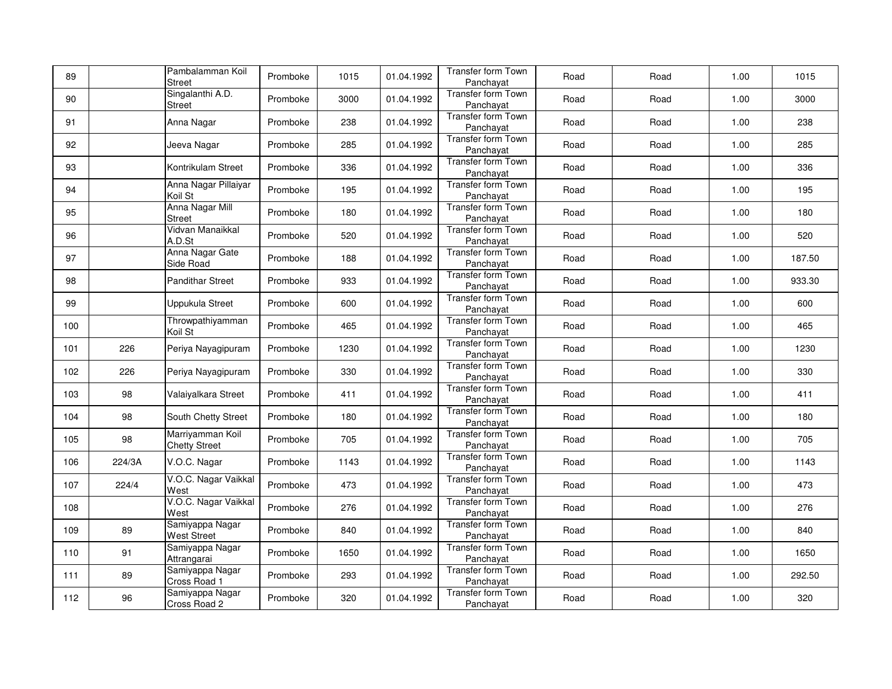| 89  |        | Pambalamman Koil<br><b>Street</b>        | Promboke | 1015 | 01.04.1992 | <b>Transfer form Town</b><br>Panchayat | Road | Road | 1.00 | 1015   |
|-----|--------|------------------------------------------|----------|------|------------|----------------------------------------|------|------|------|--------|
| 90  |        | Singalanthi A.D.<br><b>Street</b>        | Promboke | 3000 | 01.04.1992 | Transfer form Town<br>Panchayat        | Road | Road | 1.00 | 3000   |
| 91  |        | Anna Nagar                               | Promboke | 238  | 01.04.1992 | Transfer form Town<br>Panchayat        | Road | Road | 1.00 | 238    |
| 92  |        | Jeeva Nagar                              | Promboke | 285  | 01.04.1992 | Transfer form Town<br>Panchayat        | Road | Road | 1.00 | 285    |
| 93  |        | Kontrikulam Street                       | Promboke | 336  | 01.04.1992 | <b>Transfer form Town</b><br>Panchayat | Road | Road | 1.00 | 336    |
| 94  |        | Anna Nagar Pillaiyar<br>Koil St          | Promboke | 195  | 01.04.1992 | <b>Transfer form Town</b><br>Panchayat | Road | Road | 1.00 | 195    |
| 95  |        | Anna Nagar Mill<br><b>Street</b>         | Promboke | 180  | 01.04.1992 | <b>Transfer form Town</b><br>Panchayat | Road | Road | 1.00 | 180    |
| 96  |        | Vidvan Manaikkal<br>A.D.St               | Promboke | 520  | 01.04.1992 | <b>Transfer form Town</b><br>Panchayat | Road | Road | 1.00 | 520    |
| 97  |        | Anna Nagar Gate<br>Side Road             | Promboke | 188  | 01.04.1992 | Transfer form Town<br>Panchayat        | Road | Road | 1.00 | 187.50 |
| 98  |        | <b>Pandithar Street</b>                  | Promboke | 933  | 01.04.1992 | <b>Transfer form Town</b><br>Panchayat | Road | Road | 1.00 | 933.30 |
| 99  |        | Uppukula Street                          | Promboke | 600  | 01.04.1992 | <b>Transfer form Town</b><br>Panchayat | Road | Road | 1.00 | 600    |
| 100 |        | Throwpathiyamman<br>Koil St              | Promboke | 465  | 01.04.1992 | Transfer form Town<br>Panchayat        | Road | Road | 1.00 | 465    |
| 101 | 226    | Periya Nayagipuram                       | Promboke | 1230 | 01.04.1992 | Transfer form Town<br>Panchayat        | Road | Road | 1.00 | 1230   |
| 102 | 226    | Periya Nayagipuram                       | Promboke | 330  | 01.04.1992 | Transfer form Town<br>Panchayat        | Road | Road | 1.00 | 330    |
| 103 | 98     | Valaiyalkara Street                      | Promboke | 411  | 01.04.1992 | Transfer form Town<br>Panchayat        | Road | Road | 1.00 | 411    |
| 104 | 98     | South Chetty Street                      | Promboke | 180  | 01.04.1992 | <b>Transfer form Town</b><br>Panchayat | Road | Road | 1.00 | 180    |
| 105 | 98     | Marriyamman Koil<br><b>Chetty Street</b> | Promboke | 705  | 01.04.1992 | <b>Transfer form Town</b><br>Panchayat | Road | Road | 1.00 | 705    |
| 106 | 224/3A | V.O.C. Nagar                             | Promboke | 1143 | 01.04.1992 | Transfer form Town<br>Panchayat        | Road | Road | 1.00 | 1143   |
| 107 | 224/4  | V.O.C. Nagar Vaikkal<br>West             | Promboke | 473  | 01.04.1992 | Transfer form Town<br>Panchayat        | Road | Road | 1.00 | 473    |
| 108 |        | V.O.C. Nagar Vaikkal<br>West             | Promboke | 276  | 01.04.1992 | Transfer form Town<br>Panchayat        | Road | Road | 1.00 | 276    |
| 109 | 89     | Samiyappa Nagar<br><b>West Street</b>    | Promboke | 840  | 01.04.1992 | Transfer form Town<br>Panchayat        | Road | Road | 1.00 | 840    |
| 110 | 91     | Samiyappa Nagar<br>Attrangarai           | Promboke | 1650 | 01.04.1992 | Transfer form Town<br>Panchayat        | Road | Road | 1.00 | 1650   |
| 111 | 89     | Samiyappa Nagar<br>Cross Road 1          | Promboke | 293  | 01.04.1992 | <b>Transfer form Town</b><br>Panchayat | Road | Road | 1.00 | 292.50 |
| 112 | 96     | Samiyappa Nagar<br>Cross Road 2          | Promboke | 320  | 01.04.1992 | <b>Transfer form Town</b><br>Panchayat | Road | Road | 1.00 | 320    |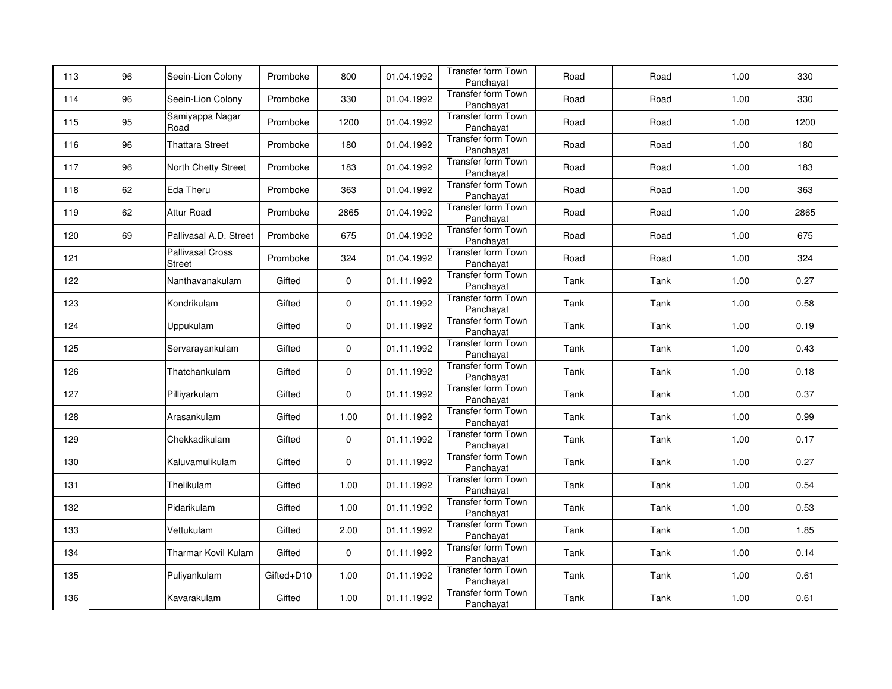| 113 | 96 | Seein-Lion Colony                        | Promboke   | 800         | 01.04.1992 | Transfer form Town<br>Panchayat        | Road | Road | 1.00 | 330  |
|-----|----|------------------------------------------|------------|-------------|------------|----------------------------------------|------|------|------|------|
| 114 | 96 | Seein-Lion Colony                        | Promboke   | 330         | 01.04.1992 | Transfer form Town<br>Panchayat        | Road | Road | 1.00 | 330  |
| 115 | 95 | Samiyappa Nagar<br>Road                  | Promboke   | 1200        | 01.04.1992 | <b>Transfer form Town</b><br>Panchayat | Road | Road | 1.00 | 1200 |
| 116 | 96 | <b>Thattara Street</b>                   | Promboke   | 180         | 01.04.1992 | Transfer form Town<br>Panchayat        | Road | Road | 1.00 | 180  |
| 117 | 96 | North Chetty Street                      | Promboke   | 183         | 01.04.1992 | Transfer form Town<br>Panchayat        | Road | Road | 1.00 | 183  |
| 118 | 62 | Eda Theru                                | Promboke   | 363         | 01.04.1992 | Transfer form Town<br>Panchayat        | Road | Road | 1.00 | 363  |
| 119 | 62 | Attur Road                               | Promboke   | 2865        | 01.04.1992 | Transfer form Town<br>Panchayat        | Road | Road | 1.00 | 2865 |
| 120 | 69 | Pallivasal A.D. Street                   | Promboke   | 675         | 01.04.1992 | Transfer form Town<br>Panchayat        | Road | Road | 1.00 | 675  |
| 121 |    | <b>Pallivasal Cross</b><br><b>Street</b> | Promboke   | 324         | 01.04.1992 | Transfer form Town<br>Panchayat        | Road | Road | 1.00 | 324  |
| 122 |    | Nanthavanakulam                          | Gifted     | $\pmb{0}$   | 01.11.1992 | <b>Transfer form Town</b><br>Panchayat | Tank | Tank | 1.00 | 0.27 |
| 123 |    | Kondrikulam                              | Gifted     | 0           | 01.11.1992 | Transfer form Town<br>Panchayat        | Tank | Tank | 1.00 | 0.58 |
| 124 |    | Uppukulam                                | Gifted     | $\pmb{0}$   | 01.11.1992 | Transfer form Town<br>Panchayat        | Tank | Tank | 1.00 | 0.19 |
| 125 |    | Servarayankulam                          | Gifted     | $\mathbf 0$ | 01.11.1992 | Transfer form Town<br>Panchayat        | Tank | Tank | 1.00 | 0.43 |
| 126 |    | Thatchankulam                            | Gifted     | $\pmb{0}$   | 01.11.1992 | Transfer form Town<br>Panchayat        | Tank | Tank | 1.00 | 0.18 |
| 127 |    | Pilliyarkulam                            | Gifted     | 0           | 01.11.1992 | <b>Transfer form Town</b><br>Panchayat | Tank | Tank | 1.00 | 0.37 |
| 128 |    | Arasankulam                              | Gifted     | 1.00        | 01.11.1992 | Transfer form Town<br>Panchayat        | Tank | Tank | 1.00 | 0.99 |
| 129 |    | Chekkadikulam                            | Gifted     | 0           | 01.11.1992 | Transfer form Town<br>Panchayat        | Tank | Tank | 1.00 | 0.17 |
| 130 |    | Kaluvamulikulam                          | Gifted     | 0           | 01.11.1992 | <b>Transfer form Town</b><br>Panchayat | Tank | Tank | 1.00 | 0.27 |
| 131 |    | Thelikulam                               | Gifted     | 1.00        | 01.11.1992 | Transfer form Town<br>Panchayat        | Tank | Tank | 1.00 | 0.54 |
| 132 |    | Pidarikulam                              | Gifted     | 1.00        | 01.11.1992 | Transfer form Town<br>Panchayat        | Tank | Tank | 1.00 | 0.53 |
| 133 |    | Vettukulam                               | Gifted     | 2.00        | 01.11.1992 | Transfer form Town<br>Panchayat        | Tank | Tank | 1.00 | 1.85 |
| 134 |    | Tharmar Kovil Kulam                      | Gifted     | $\pmb{0}$   | 01.11.1992 | <b>Transfer form Town</b><br>Panchayat | Tank | Tank | 1.00 | 0.14 |
| 135 |    | Puliyankulam                             | Gifted+D10 | 1.00        | 01.11.1992 | Transfer form Town<br>Panchayat        | Tank | Tank | 1.00 | 0.61 |
| 136 |    | Kavarakulam                              | Gifted     | 1.00        | 01.11.1992 | <b>Transfer form Town</b><br>Panchayat | Tank | Tank | 1.00 | 0.61 |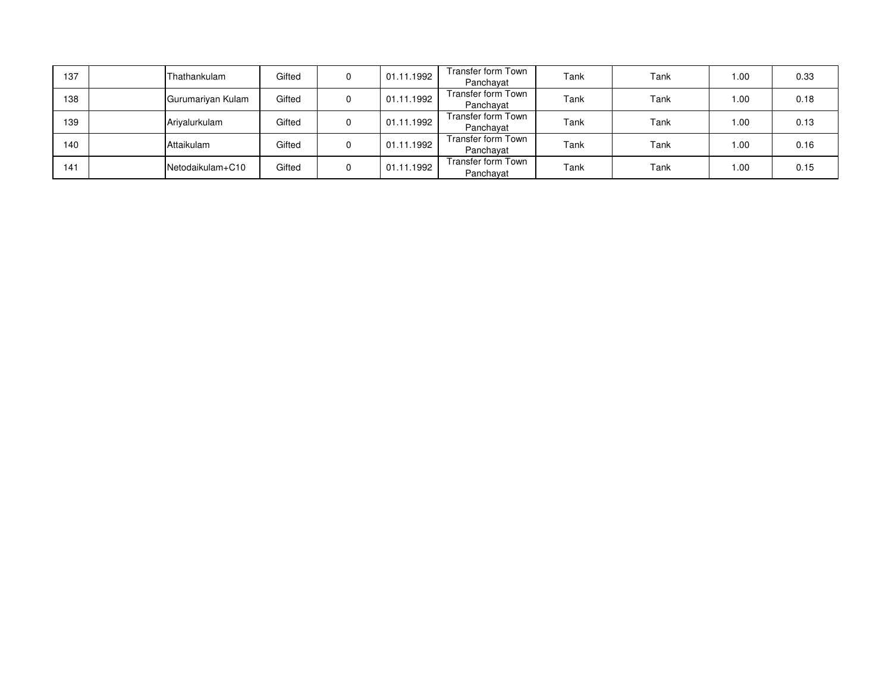| 137 | Thathankulam      | Gifted | 0 | 01.11.1992 | Transfer form Town<br>Panchayat | Tank | Tank | 1.00 | 0.33 |
|-----|-------------------|--------|---|------------|---------------------------------|------|------|------|------|
| 138 | Gurumariyan Kulam | Gifted | 0 | 01.11.1992 | Transfer form Town<br>Panchayat | Tank | Tank | 1.00 | 0.18 |
| 139 | Arivalurkulam     | Gifted | 0 | 01.11.1992 | Transfer form Town<br>Panchayat | Tank | Tank | 1.00 | 0.13 |
| 140 | Attaikulam        | Gifted | 0 | 01.11.1992 | Transfer form Town<br>Panchayat | Tank | Tank | 1.00 | 0.16 |
| 141 | Netodaikulam+C10  | Gifted | 0 | 01.11.1992 | Transfer form Town<br>Panchayat | Tank | Tank | 1.00 | 0.15 |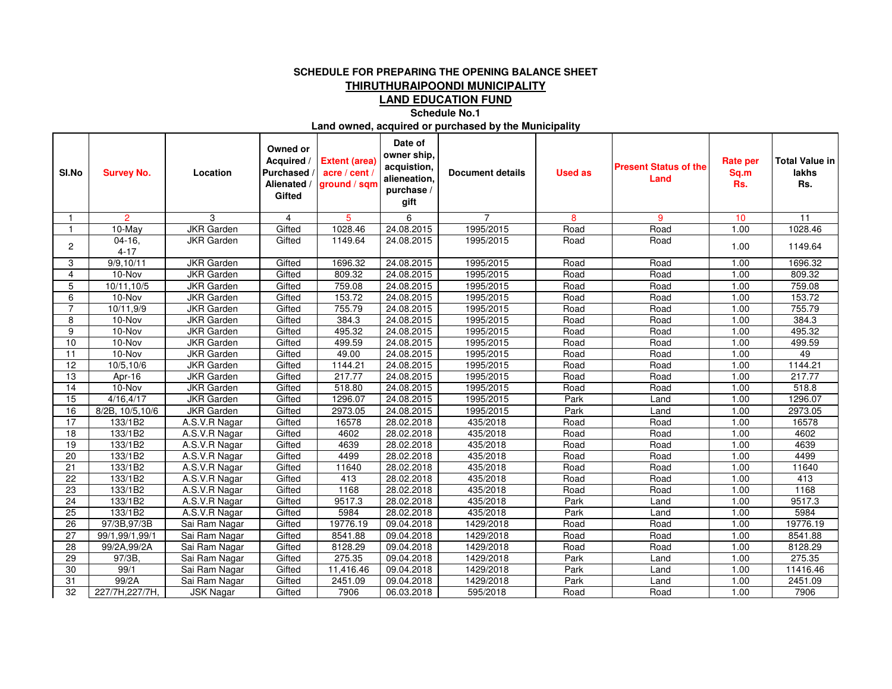## **SCHEDULE FOR PREPARING THE OPENING BALANCE SHEETTHIRUTHURAIPOONDI MUNICIPALITY**

**LAND EDUCATION FUND**

**Schedule No.1**

**Land owned, acquired or purchased by the Municipality**

| SI.No           | <b>Survey No.</b>    | Location          | Owned or<br>Acquired /<br>Purchased<br>Alienated /<br>Gifted | <b>Extent (area)</b><br>acre / cent /<br>ground / sqm | Date of<br>owner ship,<br>acquistion,<br>alieneation,<br>purchase /<br>gift | <b>Document details</b> | <b>Used as</b> | <b>Present Status of the</b><br>Land | <b>Rate per</b><br>Sq.m<br>Rs. | <b>Total Value in</b><br>lakhs<br>Rs. |
|-----------------|----------------------|-------------------|--------------------------------------------------------------|-------------------------------------------------------|-----------------------------------------------------------------------------|-------------------------|----------------|--------------------------------------|--------------------------------|---------------------------------------|
|                 | $\overline{2}$       | 3                 | 4                                                            | 5                                                     | 6                                                                           | 7                       | 8              | 9                                    | 10                             | 11                                    |
| -1              | 10-May               | <b>JKR</b> Garden | Gifted                                                       | 1028.46                                               | 24.08.2015                                                                  | 1995/2015               | Road           | Road                                 | 1.00                           | 1028.46                               |
| $\overline{c}$  | $04-16,$<br>$4 - 17$ | <b>JKR</b> Garden | Gifted                                                       | 1149.64                                               | 24.08.2015                                                                  | 1995/2015               | Road           | Road                                 | 1.00                           | 1149.64                               |
| 3               | 9/9, 10/11           | <b>JKR</b> Garden | Gifted                                                       | 1696.32                                               | 24.08.2015                                                                  | 1995/2015               | Road           | Road                                 | 1.00                           | 1696.32                               |
| 4               | 10-Nov               | <b>JKR</b> Garden | Gifted                                                       | 809.32                                                | 24.08.2015                                                                  | 1995/2015               | Road           | Road                                 | 1.00                           | 809.32                                |
| 5               | 10/11,10/5           | <b>JKR</b> Garden | Gifted                                                       | 759.08                                                | 24.08.2015                                                                  | 1995/2015               | Road           | Road                                 | 1.00                           | 759.08                                |
| 6               | 10-Nov               | <b>JKR</b> Garden | Gifted                                                       | 153.72                                                | 24.08.2015                                                                  | 1995/2015               | Road           | Road                                 | 1.00                           | 153.72                                |
| $\overline{7}$  | 10/11,9/9            | <b>JKR</b> Garden | Gifted                                                       | 755.79                                                | 24.08.2015                                                                  | 1995/2015               | Road           | Road                                 | 1.00                           | 755.79                                |
| 8               | 10-Nov               | <b>JKR</b> Garden | Gifted                                                       | 384.3                                                 | 24.08.2015                                                                  | 1995/2015               | Road           | Road                                 | 1.00                           | 384.3                                 |
| 9               | 10-Nov               | <b>JKR</b> Garden | Gifted                                                       | 495.32                                                | 24.08.2015                                                                  | 1995/2015               | Road           | Road                                 | 1.00                           | 495.32                                |
| 10              | 10-Nov               | <b>JKR</b> Garden | Gifted                                                       | 499.59                                                | 24.08.2015                                                                  | 1995/2015               | Road           | Road                                 | 1.00                           | 499.59                                |
| 11              | 10-Nov               | <b>JKR</b> Garden | Gifted                                                       | 49.00                                                 | 24.08.2015                                                                  | 1995/2015               | Road           | Road                                 | 1.00                           | 49                                    |
| 12              | 10/5, 10/6           | <b>JKR</b> Garden | Gifted                                                       | 1144.21                                               | 24.08.2015                                                                  | 1995/2015               | Road           | Road                                 | 1.00                           | 1144.21                               |
| 13              | Apr-16               | <b>JKR</b> Garden | Gifted                                                       | 217.77                                                | 24.08.2015                                                                  | 1995/2015               | Road           | Road                                 | 1.00                           | 217.77                                |
| 14              | 10-Nov               | <b>JKR</b> Garden | Gifted                                                       | 518.80                                                | 24.08.2015                                                                  | 1995/2015               | Road           | Road                                 | 1.00                           | 518.8                                 |
| 15              | 4/16, 4/17           | <b>JKR</b> Garden | Gifted                                                       | 1296.07                                               | 24.08.2015                                                                  | 1995/2015               | Park           | Land                                 | 1.00                           | 1296.07                               |
| 16              | 8/2B, 10/5,10/6      | <b>JKR</b> Garden | Gifted                                                       | 2973.05                                               | 24.08.2015                                                                  | 1995/2015               | Park           | Land                                 | 1.00                           | 2973.05                               |
| $\overline{17}$ | 133/1B2              | A.S.V.R Nagar     | Gifted                                                       | 16578                                                 | 28.02.2018                                                                  | 435/2018                | Road           | Road                                 | 1.00                           | 16578                                 |
| 18              | 133/1B2              | A.S.V.R Nagar     | Gifted                                                       | 4602                                                  | 28.02.2018                                                                  | 435/2018                | Road           | Road                                 | 1.00                           | 4602                                  |
| 19              | 133/1B2              | A.S.V.R Nagar     | Gifted                                                       | 4639                                                  | 28.02.2018                                                                  | 435/2018                | Road           | Road                                 | 1.00                           | 4639                                  |
| 20              | 133/1B2              | A.S.V.R Nagar     | Gifted                                                       | 4499                                                  | 28.02.2018                                                                  | 435/2018                | Road           | Road                                 | 1.00                           | 4499                                  |
| 21              | 133/1B2              | A.S.V.R Nagar     | Gifted                                                       | 11640                                                 | 28.02.2018                                                                  | 435/2018                | Road           | Road                                 | 1.00                           | 11640                                 |
| $\overline{22}$ | 133/1B2              | A.S.V.R Nagar     | Gifted                                                       | 413                                                   | 28.02.2018                                                                  | 435/2018                | Road           | Road                                 | 1.00                           | 413                                   |
| 23              | 133/1B2              | A.S.V.R Nagar     | Gifted                                                       | 1168                                                  | 28.02.2018                                                                  | 435/2018                | Road           | Road                                 | 1.00                           | 1168                                  |
| 24              | 133/1B2              | A.S.V.R Nagar     | Gifted                                                       | 9517.3                                                | 28.02.2018                                                                  | 435/2018                | Park           | Land                                 | 1.00                           | 9517.3                                |
| 25              | 133/1B2              | A.S.V.R Nagar     | Gifted                                                       | 5984                                                  | 28.02.2018                                                                  | 435/2018                | Park           | Land                                 | 1.00                           | 5984                                  |
| 26              | 97/3B, 97/3B         | Sai Ram Nagar     | Gifted                                                       | 19776.19                                              | 09.04.2018                                                                  | 1429/2018               | Road           | Road                                 | 1.00                           | 19776.19                              |
| 27              | 99/1,99/1,99/1       | Sai Ram Nagar     | Gifted                                                       | 8541.88                                               | 09.04.2018                                                                  | 1429/2018               | Road           | Road                                 | 1.00                           | 8541.88                               |
| 28              | 99/2A,99/2A          | Sai Ram Nagar     | Gifted                                                       | 8128.29                                               | 09.04.2018                                                                  | 1429/2018               | Road           | Road                                 | 1.00                           | 8128.29                               |
| 29              | 97/3B                | Sai Ram Nagar     | Gifted                                                       | 275.35                                                | 09.04.2018                                                                  | 1429/2018               | Park           | Land                                 | 1.00                           | 275.35                                |
| 30              | 99/1                 | Sai Ram Nagar     | Gifted                                                       | 11,416.46                                             | 09.04.2018                                                                  | 1429/2018               | Park           | Land                                 | 1.00                           | 11416.46                              |
| 31              | 99/2A                | Sai Ram Nagar     | Gifted                                                       | 2451.09                                               | 09.04.2018                                                                  | 1429/2018               | Park           | Land                                 | 1.00                           | 2451.09                               |
| 32              | 227/7H, 227/7H,      | <b>JSK Nagar</b>  | Gifted                                                       | 7906                                                  | 06.03.2018                                                                  | 595/2018                | Road           | Road                                 | 1.00                           | 7906                                  |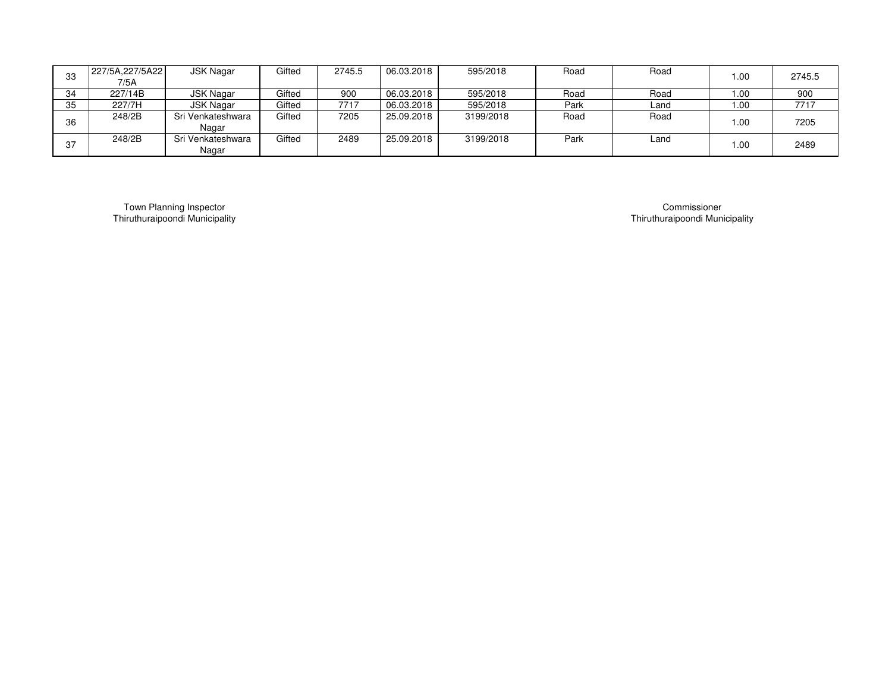| 33 | 227/5A,227/5A22 | JSK Nagar         | Gifted | 2745.5 | 06.03.2018 | 595/2018  | Road | Road | 1.00 | 2745.5 |
|----|-----------------|-------------------|--------|--------|------------|-----------|------|------|------|--------|
|    | 7/5A            |                   |        |        |            |           |      |      |      |        |
| 34 | 227/14B         | JSK Nagar         | Gifted | 900    | 06.03.2018 | 595/2018  | Road | Road | 1.00 | 900    |
| 35 | 227/7H          | <b>JSK Nagar</b>  | Gifted | 7717   | 06.03.2018 | 595/2018  | Park | Land | 1.00 | 7717   |
| 36 | 248/2B          | Sri Venkateshwara | Gifted | 7205   | 25.09.2018 | 3199/2018 | Road | Road | 1.00 | 7205   |
|    |                 | Nagar             |        |        |            |           |      |      |      |        |
| 37 | 248/2B          | Sri Venkateshwara | Gifted | 2489   | 25.09.2018 | 3199/2018 | Park | Land | 1.00 | 2489   |
|    |                 | Nagar             |        |        |            |           |      |      |      |        |

Thiruthuraipoondi MunicipalityTown Planning Inspector

 Thiruthuraipoondi Municipality Commissioner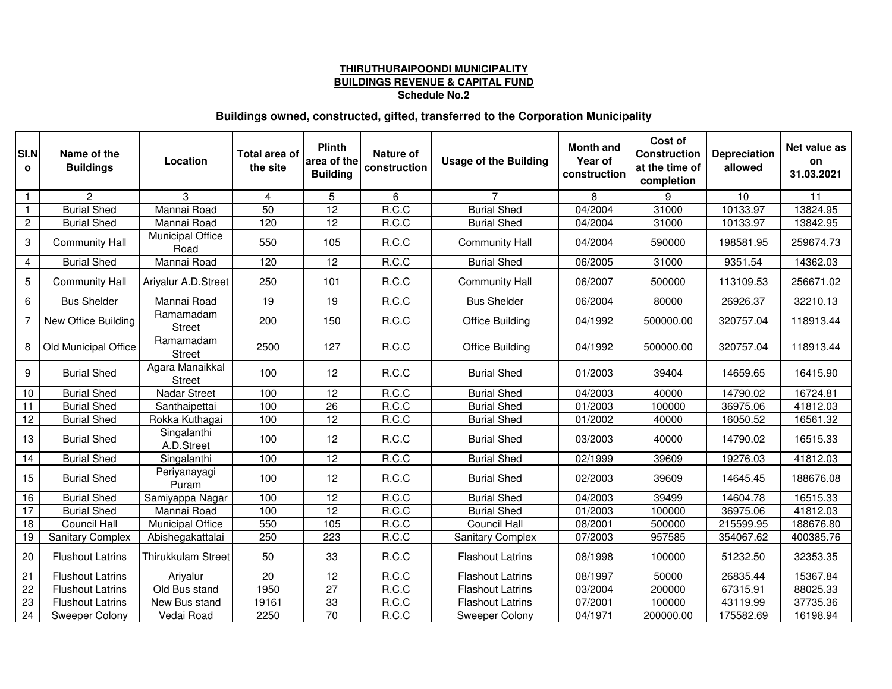# **THIRUTHURAIPOONDI MUNICIPALITYBUILDINGS REVENUE & CAPITAL FUND Schedule No.2**

## **Buildings owned, constructed, gifted, transferred to the Corporation Municipality**

| SI.N<br>$\mathbf{o}$ | Name of the<br><b>Buildings</b> | Location                         | Total area of<br>the site | <b>Plinth</b><br>area of the<br><b>Building</b> | Nature of<br>construction | <b>Usage of the Building</b> | <b>Month and</b><br>Year of<br>construction | Cost of<br><b>Construction</b><br>at the time of<br>completion | <b>Depreciation</b><br>allowed | Net value as<br>on<br>31.03.2021 |
|----------------------|---------------------------------|----------------------------------|---------------------------|-------------------------------------------------|---------------------------|------------------------------|---------------------------------------------|----------------------------------------------------------------|--------------------------------|----------------------------------|
| $\overline{1}$       | $\mathbf{2}$                    | 3                                | 4                         | 5                                               | 6                         | $\overline{7}$               | 8                                           | 9                                                              | 10                             | 11                               |
| $\mathbf{1}$         | <b>Burial Shed</b>              | Mannai Road                      | $\overline{50}$           | $\overline{12}$                                 | R.C.C                     | <b>Burial Shed</b>           | 04/2004                                     | 31000                                                          | 10133.97                       | 13824.95                         |
| $\mathbf{2}$         | <b>Burial Shed</b>              | Mannai Road                      | 120                       | $\overline{12}$                                 | R.C.C                     | <b>Burial Shed</b>           | 04/2004                                     | 31000                                                          | 10133.97                       | 13842.95                         |
| $\mathbf{3}$         | <b>Community Hall</b>           | Municipal Office<br>Road         | 550                       | 105                                             | R.C.C                     | <b>Community Hall</b>        | 04/2004                                     | 590000                                                         | 198581.95                      | 259674.73                        |
| $\overline{4}$       | <b>Burial Shed</b>              | Mannai Road                      | 120                       | 12                                              | R.C.C                     | <b>Burial Shed</b>           | 06/2005                                     | 31000                                                          | 9351.54                        | 14362.03                         |
| 5                    | <b>Community Hall</b>           | Ariyalur A.D.Street              | 250                       | 101                                             | R.C.C                     | <b>Community Hall</b>        | 06/2007                                     | 500000                                                         | 113109.53                      | 256671.02                        |
| 6                    | <b>Bus Shelder</b>              | Mannai Road                      | 19                        | 19                                              | R.C.C                     | <b>Bus Shelder</b>           | 06/2004                                     | 80000                                                          | 26926.37                       | 32210.13                         |
| 7                    | New Office Building             | Ramamadam<br><b>Street</b>       | 200                       | 150                                             | R.C.C                     | <b>Office Building</b>       | 04/1992                                     | 500000.00                                                      | 320757.04                      | 118913.44                        |
| 8                    | Old Municipal Office            | Ramamadam<br><b>Street</b>       | 2500                      | 127                                             | R.C.C                     | <b>Office Building</b>       | 04/1992                                     | 500000.00                                                      | 320757.04                      | 118913.44                        |
| 9                    | <b>Burial Shed</b>              | Agara Manaikkal<br><b>Street</b> | 100                       | 12                                              | R.C.C                     | <b>Burial Shed</b>           | 01/2003                                     | 39404                                                          | 14659.65                       | 16415.90                         |
| 10                   | <b>Burial Shed</b>              | <b>Nadar Street</b>              | 100                       | 12                                              | R.C.C                     | <b>Burial Shed</b>           | 04/2003                                     | 40000                                                          | 14790.02                       | 16724.81                         |
| $\overline{11}$      | <b>Burial Shed</b>              | Santhaipettai                    | 100                       | $\overline{26}$                                 | R.C.C                     | <b>Burial Shed</b>           | 01/2003                                     | 100000                                                         | 36975.06                       | 41812.03                         |
| $\overline{12}$      | <b>Burial Shed</b>              | Rokka Kuthagai                   | 100                       | 12                                              | R.C.C                     | <b>Burial Shed</b>           | 01/2002                                     | 40000                                                          | 16050.52                       | 16561.32                         |
| 13                   | <b>Burial Shed</b>              | Singalanthi<br>A.D.Street        | 100                       | 12                                              | R.C.C                     | <b>Burial Shed</b>           | 03/2003                                     | 40000                                                          | 14790.02                       | 16515.33                         |
| 14                   | <b>Burial Shed</b>              | Singalanthi                      | 100                       | 12                                              | R.C.C                     | <b>Burial Shed</b>           | 02/1999                                     | 39609                                                          | 19276.03                       | 41812.03                         |
| 15                   | <b>Burial Shed</b>              | Periyanayagi<br>Puram            | 100                       | 12                                              | R.C.C                     | <b>Burial Shed</b>           | 02/2003                                     | 39609                                                          | 14645.45                       | 188676.08                        |
| 16                   | <b>Burial Shed</b>              | Samiyappa Nagar                  | 100                       | 12                                              | R.C.C                     | <b>Burial Shed</b>           | 04/2003                                     | 39499                                                          | 14604.78                       | 16515.33                         |
| 17                   | <b>Burial Shed</b>              | Mannai Road                      | 100                       | $\overline{12}$                                 | R.C.C                     | <b>Burial Shed</b>           | 01/2003                                     | 100000                                                         | 36975.06                       | 41812.03                         |
| 18                   | <b>Council Hall</b>             | <b>Municipal Office</b>          | 550                       | 105                                             | R.C.C                     | <b>Council Hall</b>          | 08/2001                                     | 500000                                                         | 215599.95                      | 188676.80                        |
| 19                   | <b>Sanitary Complex</b>         | Abishegakattalai                 | 250                       | 223                                             | R.C.C                     | <b>Sanitary Complex</b>      | 07/2003                                     | 957585                                                         | 354067.62                      | 400385.76                        |
| 20                   | <b>Flushout Latrins</b>         | <b>Thirukkulam Street</b>        | 50                        | 33                                              | R.C.C                     | <b>Flashout Latrins</b>      | 08/1998                                     | 100000                                                         | 51232.50                       | 32353.35                         |
| 21                   | <b>Flushout Latrins</b>         | Ariyalur                         | 20                        | 12                                              | R.C.C                     | <b>Flashout Latrins</b>      | 08/1997                                     | 50000                                                          | 26835.44                       | 15367.84                         |
| 22                   | <b>Flushout Latrins</b>         | Old Bus stand                    | 1950                      | 27                                              | R.C.C                     | <b>Flashout Latrins</b>      | 03/2004                                     | 200000                                                         | 67315.91                       | 88025.33                         |
| 23                   | <b>Flushout Latrins</b>         | New Bus stand                    | 19161                     | 33                                              | R.C.C                     | <b>Flashout Latrins</b>      | 07/2001                                     | 100000                                                         | 43119.99                       | 37735.36                         |
| 24                   | Sweeper Colony                  | Vedai Road                       | 2250                      | $\overline{70}$                                 | R.C.C                     | Sweeper Colony               | 04/1971                                     | 200000.00                                                      | 175582.69                      | 16198.94                         |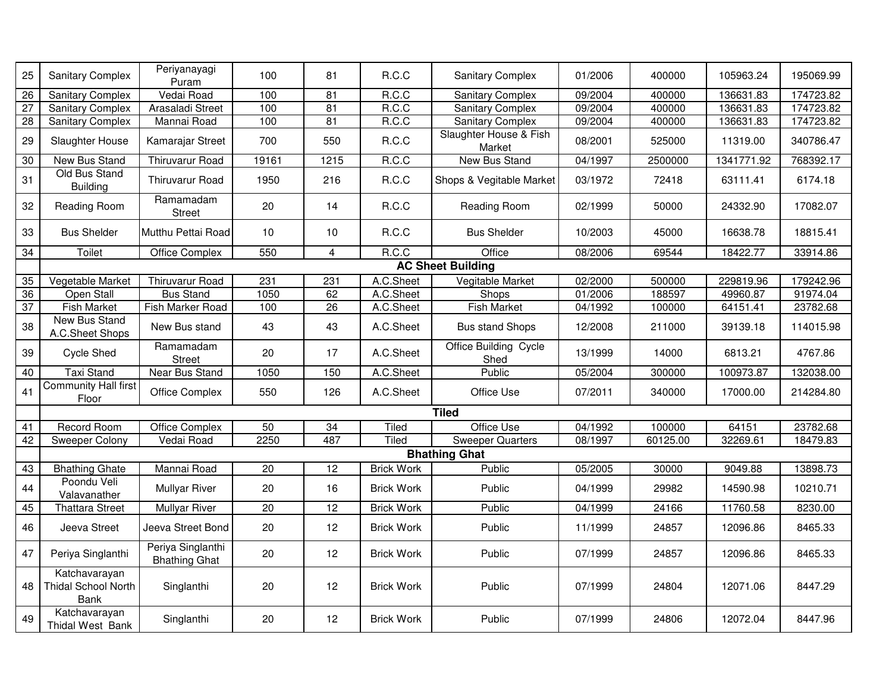| 25              | <b>Sanitary Complex</b>                             | Periyanayagi<br>Puram                     | 100   | 81              | R.C.C             | <b>Sanitary Complex</b>          | 01/2006              | 400000   | 105963.24  | 195069.99 |
|-----------------|-----------------------------------------------------|-------------------------------------------|-------|-----------------|-------------------|----------------------------------|----------------------|----------|------------|-----------|
| $\overline{26}$ | <b>Sanitary Complex</b>                             | Vedai Road                                | 100   | 81              | R.C.C             | <b>Sanitary Complex</b>          | 09/2004              | 400000   | 136631.83  | 174723.82 |
| 27              | <b>Sanitary Complex</b>                             | Arasaladi Street                          | 100   | 81              | R.C.C             | <b>Sanitary Complex</b>          | 09/2004              | 400000   | 136631.83  | 174723.82 |
| 28              | Sanitary Complex                                    | Mannai Road                               | 100   | $\overline{81}$ | R.C.C             | <b>Sanitary Complex</b>          | 09/2004              | 400000   | 136631.83  | 174723.82 |
| 29              | Slaughter House                                     | Kamarajar Street                          | 700   | 550             | R.C.C             | Slaughter House & Fish<br>Market | 08/2001              | 525000   | 11319.00   | 340786.47 |
| 30              | New Bus Stand                                       | <b>Thiruvarur Road</b>                    | 19161 | 1215            | R.C.C             | <b>New Bus Stand</b>             | $\frac{1}{04}{1997}$ | 2500000  | 1341771.92 | 768392.17 |
| 31              | Old Bus Stand<br><b>Building</b>                    | <b>Thiruvarur Road</b>                    | 1950  | 216             | R.C.C             | Shops & Vegitable Market         | 03/1972              | 72418    | 63111.41   | 6174.18   |
| 32              | Reading Room                                        | Ramamadam<br><b>Street</b>                | 20    | 14              | R.C.C             | Reading Room                     | 02/1999              | 50000    | 24332.90   | 17082.07  |
| 33              | <b>Bus Shelder</b>                                  | Mutthu Pettai Road                        | 10    | 10              | R.C.C             | <b>Bus Shelder</b>               | 10/2003              | 45000    | 16638.78   | 18815.41  |
| 34              | Toilet                                              | Office Complex                            | 550   | $\overline{4}$  | R.C.C             | Office                           | 08/2006              | 69544    | 18422.77   | 33914.86  |
|                 |                                                     |                                           |       |                 |                   | <b>AC Sheet Building</b>         |                      |          |            |           |
| 35              | Vegetable Market                                    | <b>Thiruvarur Road</b>                    | 231   | 231             | A.C.Sheet         | Vegitable Market                 | 02/2000              | 500000   | 229819.96  | 179242.96 |
| 36              | Open Stall                                          | <b>Bus Stand</b>                          | 1050  | 62              | A.C.Sheet         | Shops                            | 01/2006              | 188597   | 49960.87   | 91974.04  |
| 37              | <b>Fish Market</b>                                  | Fish Marker Road                          | 100   | 26              | A.C.Sheet         | <b>Fish Market</b>               | 04/1992              | 100000   | 64151.41   | 23782.68  |
| 38              | <b>New Bus Stand</b><br>A.C.Sheet Shops             | New Bus stand                             | 43    | 43              | A.C.Sheet         | <b>Bus stand Shops</b>           | 12/2008              | 211000   | 39139.18   | 114015.98 |
| 39              | <b>Cycle Shed</b>                                   | Ramamadam<br><b>Street</b>                | 20    | 17              | A.C.Sheet         | Office Building Cycle<br>Shed    | 13/1999              | 14000    | 6813.21    | 4767.86   |
| 40              | <b>Taxi Stand</b>                                   | Near Bus Stand                            | 1050  | 150             | A.C.Sheet         | Public                           | 05/2004              | 300000   | 100973.87  | 132038.00 |
| 41              | <b>Community Hall first</b><br>Floor                | <b>Office Complex</b>                     | 550   | 126             | A.C.Sheet         | Office Use                       | 07/2011              | 340000   | 17000.00   | 214284.80 |
|                 |                                                     |                                           |       |                 |                   | <b>Tiled</b>                     |                      |          |            |           |
| $\overline{41}$ | Record Room                                         | Office Complex                            | 50    | $\overline{34}$ | Tiled             | <b>Office Use</b>                | 04/1992              | 100000   | 64151      | 23782.68  |
| 42              | <b>Sweeper Colony</b>                               | Vedai Road                                | 2250  | 487             | Tiled             | Sweeper Quarters                 | 08/1997              | 60125.00 | 32269.61   | 18479.83  |
|                 |                                                     |                                           |       |                 |                   | <b>Bhathing Ghat</b>             |                      |          |            |           |
| 43              | <b>Bhathing Ghate</b>                               | Mannai Road                               | 20    | 12              | <b>Brick Work</b> | Public                           | 05/2005              | 30000    | 9049.88    | 13898.73  |
| 44              | Poondu Veli<br>Valavanather                         | <b>Mullyar River</b>                      | 20    | 16              | <b>Brick Work</b> | Public                           | 04/1999              | 29982    | 14590.98   | 10210.71  |
| 45              | <b>Thattara Street</b>                              | <b>Mullyar River</b>                      | 20    | $\overline{12}$ | <b>Brick Work</b> | Public                           | 04/1999              | 24166    | 11760.58   | 8230.00   |
| 46              | Jeeva Street                                        | Jeeva Street Bond                         | 20    | 12              | <b>Brick Work</b> | Public                           | 11/1999              | 24857    | 12096.86   | 8465.33   |
| 47              | Periya Singlanthi                                   | Periya Singlanthi<br><b>Bhathing Ghat</b> | 20    | 12              | <b>Brick Work</b> | Public                           | 07/1999              | 24857    | 12096.86   | 8465.33   |
| 48              | Katchavarayan<br><b>Thidal School North</b><br>Bank | Singlanthi                                | 20    | 12              | <b>Brick Work</b> | Public                           | 07/1999              | 24804    | 12071.06   | 8447.29   |
| 49              | Katchavarayan<br>Thidal West Bank                   | Singlanthi                                | 20    | 12              | <b>Brick Work</b> | Public                           | 07/1999              | 24806    | 12072.04   | 8447.96   |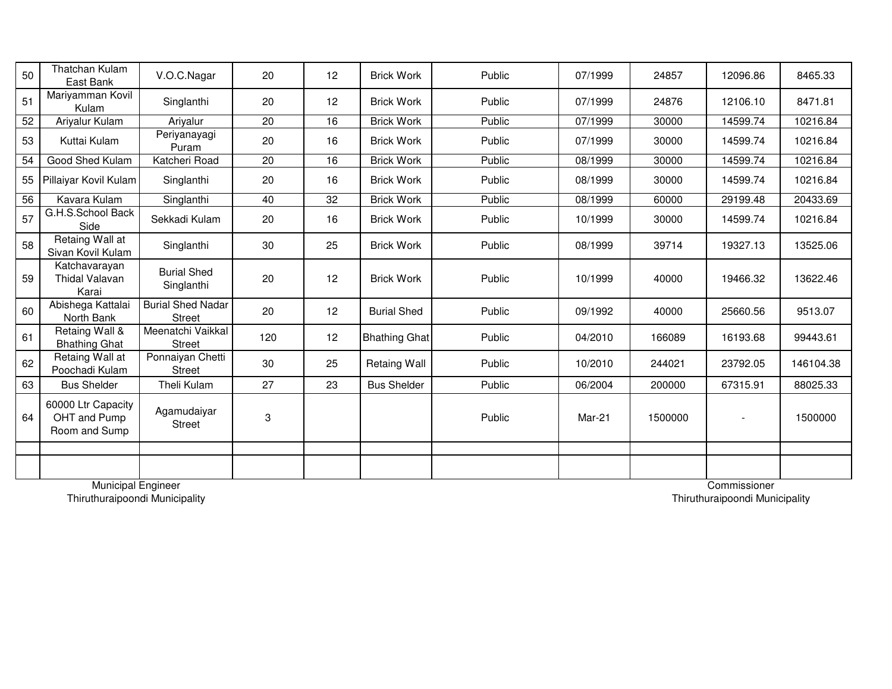| 50 | <b>Thatchan Kulam</b><br>East Bank                  | V.O.C.Nagar                               | 20  | 12 | <b>Brick Work</b>    | Public | 07/1999 | 24857   | 12096.86 | 8465.33   |
|----|-----------------------------------------------------|-------------------------------------------|-----|----|----------------------|--------|---------|---------|----------|-----------|
| 51 | Mariyamman Kovil<br>Kulam                           | Singlanthi                                | 20  | 12 | <b>Brick Work</b>    | Public | 07/1999 | 24876   | 12106.10 | 8471.81   |
| 52 | Ariyalur Kulam                                      | Ariyalur                                  | 20  | 16 | <b>Brick Work</b>    | Public | 07/1999 | 30000   | 14599.74 | 10216.84  |
| 53 | Kuttai Kulam                                        | Periyanayagi<br>Puram                     | 20  | 16 | <b>Brick Work</b>    | Public | 07/1999 | 30000   | 14599.74 | 10216.84  |
| 54 | Good Shed Kulam                                     | Katcheri Road                             | 20  | 16 | <b>Brick Work</b>    | Public | 08/1999 | 30000   | 14599.74 | 10216.84  |
| 55 | Pillaiyar Kovil Kulam                               | Singlanthi                                | 20  | 16 | <b>Brick Work</b>    | Public | 08/1999 | 30000   | 14599.74 | 10216.84  |
| 56 | Kavara Kulam                                        | Singlanthi                                | 40  | 32 | <b>Brick Work</b>    | Public | 08/1999 | 60000   | 29199.48 | 20433.69  |
| 57 | G.H.S.School Back<br>Side                           | Sekkadi Kulam                             | 20  | 16 | <b>Brick Work</b>    | Public | 10/1999 | 30000   | 14599.74 | 10216.84  |
| 58 | Retaing Wall at<br>Sivan Kovil Kulam                | Singlanthi                                | 30  | 25 | <b>Brick Work</b>    | Public | 08/1999 | 39714   | 19327.13 | 13525.06  |
| 59 | Katchavarayan<br><b>Thidal Valavan</b><br>Karai     | <b>Burial Shed</b><br>Singlanthi          | 20  | 12 | <b>Brick Work</b>    | Public | 10/1999 | 40000   | 19466.32 | 13622.46  |
| 60 | Abishega Kattalai<br>North Bank                     | <b>Burial Shed Nadar</b><br><b>Street</b> | 20  | 12 | <b>Burial Shed</b>   | Public | 09/1992 | 40000   | 25660.56 | 9513.07   |
| 61 | Retaing Wall &<br><b>Bhathing Ghat</b>              | Meenatchi Vaikkal<br><b>Street</b>        | 120 | 12 | <b>Bhathing Ghat</b> | Public | 04/2010 | 166089  | 16193.68 | 99443.61  |
| 62 | Retaing Wall at<br>Poochadi Kulam                   | Ponnaiyan Chetti<br><b>Street</b>         | 30  | 25 | <b>Retaing Wall</b>  | Public | 10/2010 | 244021  | 23792.05 | 146104.38 |
| 63 | <b>Bus Shelder</b>                                  | Theli Kulam                               | 27  | 23 | <b>Bus Shelder</b>   | Public | 06/2004 | 200000  | 67315.91 | 88025.33  |
| 64 | 60000 Ltr Capacity<br>OHT and Pump<br>Room and Sump | Agamudaiyar<br><b>Street</b>              | 3   |    |                      | Public | Mar-21  | 1500000 |          | 1500000   |
|    |                                                     |                                           |     |    |                      |        |         |         |          |           |
|    |                                                     |                                           |     |    |                      |        |         |         |          |           |

Thiruthuraipoondi Municipality

Thiruthuraipoondi Municipality Municipal Engineer Commissioner Commissioner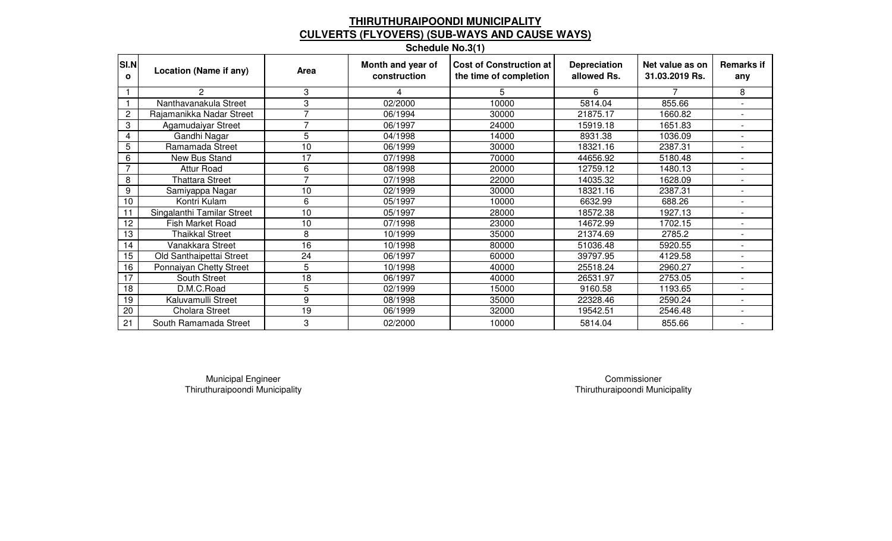# **THIRUTHURAIPOONDI MUNICIPALITYCULVERTS (FLYOVERS) (SUB-WAYS AND CAUSE WAYS) Schedule No.3(1)**

| SI.N<br>$\mathbf{o}$ | Location (Name if any)     | Area | Month and year of<br>construction | Cost of Construction at<br>the time of completion | <b>Depreciation</b><br>allowed Rs. | Net value as on<br>31.03.2019 Rs. | <b>Remarks if</b><br>any |
|----------------------|----------------------------|------|-----------------------------------|---------------------------------------------------|------------------------------------|-----------------------------------|--------------------------|
|                      | 2                          | 3    |                                   | 5.                                                | 6                                  |                                   | 8                        |
|                      | Nanthavanakula Street      | 3    | 02/2000                           | 10000                                             | 5814.04                            | 855.66                            |                          |
| $\overline{c}$       | Rajamanikka Nadar Street   | 7    | 06/1994                           | 30000                                             | 21875.17                           | 1660.82                           | $\overline{\phantom{a}}$ |
| 3                    | Agamudaiyar Street         | 7    | 06/1997                           | 24000                                             | 15919.18                           | 1651.83                           |                          |
| 4                    | Gandhi Nagar               | 5    | 04/1998                           | 14000                                             | 8931.38                            | 1036.09                           |                          |
| 5                    | Ramamada Street            | 10   | 06/1999                           | 30000                                             | 18321.16                           | 2387.31                           |                          |
| 6                    | New Bus Stand              | 17   | 07/1998                           | 70000                                             | 44656.92                           | 5180.48                           |                          |
| $\overline{7}$       | <b>Attur Road</b>          | 6    | 08/1998                           | 20000                                             | 12759.12                           | 1480.13                           |                          |
| 8                    | <b>Thattara Street</b>     | 7    | 07/1998                           | 22000                                             | 14035.32                           | 1628.09                           |                          |
| 9                    | Samiyappa Nagar            | 10   | 02/1999                           | 30000                                             | 18321.16                           | 2387.31                           |                          |
| 10                   | Kontri Kulam               | 6    | 05/1997                           | 10000                                             | 6632.99                            | 688.26                            |                          |
| 11                   | Singalanthi Tamilar Street | 10   | 05/1997                           | 28000                                             | 18572.38                           | 1927.13                           |                          |
| 12                   | <b>Fish Market Road</b>    | 10   | 07/1998                           | 23000                                             | 14672.99                           | 1702.15                           |                          |
| 13                   | Thaikkal Street            | 8    | 10/1999                           | 35000                                             | 21374.69                           | 2785.2                            |                          |
| 14                   | Vanakkara Street           | 16   | 10/1998                           | 80000                                             | 51036.48                           | 5920.55                           |                          |
| 15                   | Old Santhaipettai Street   | 24   | 06/1997                           | 60000                                             | 39797.95                           | 4129.58                           |                          |
| 16                   | Ponnaiyan Chetty Street    | 5    | 10/1998                           | 40000                                             | 25518.24                           | 2960.27                           |                          |
| 17                   | South Street               | 18   | 06/1997                           | 40000                                             | 26531.97                           | 2753.05                           | $\overline{a}$           |
| 18                   | D.M.C.Road                 | 5    | 02/1999                           | 15000                                             | 9160.58                            | 1193.65                           |                          |
| 19                   | Kaluvamulli Street         | 9    | 08/1998                           | 35000                                             | 22328.46                           | 2590.24                           | $\blacksquare$           |
| 20                   | <b>Cholara Street</b>      | 19   | 06/1999                           | 32000                                             | 19542.51                           | 2546.48                           | $\overline{a}$           |
| 21                   | South Ramamada Street      | 3    | 02/2000                           | 10000                                             | 5814.04                            | 855.66                            | $\overline{\phantom{a}}$ |

Thiruthuraipoondi MunicipalityMunicipal Engineer Commissioner Commissioner Commissioner

Thiruthuraipoondi Municipality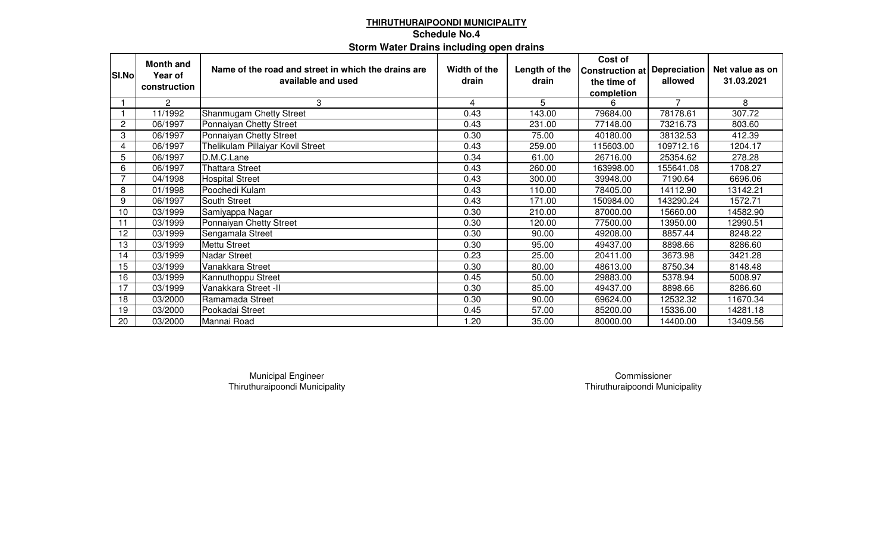## **THIRUTHURAIPOONDI MUNICIPALITYSchedule No.4Storm Water Drains including open drains**

|              | <b>Month and</b>      |                                                     |              |               | Cost of                             |                |                 |
|--------------|-----------------------|-----------------------------------------------------|--------------|---------------|-------------------------------------|----------------|-----------------|
| SI.No        | Year of               | Name of the road and street in which the drains are | Width of the | Length of the | <b>Construction at Depreciation</b> |                | Net value as on |
|              | construction          | available and used                                  | drain        | drain         | the time of                         | allowed        | 31.03.2021      |
|              |                       |                                                     |              |               | completion                          |                |                 |
|              | $\mathbf{2}^{\prime}$ | 3                                                   | 4            | 5             | 6                                   | $\overline{7}$ | 8               |
|              | 11/1992               | Shanmugam Chetty Street                             | 0.43         | 143.00        | 79684.00                            | 78178.61       | 307.72          |
| $\mathbf{2}$ | 06/1997               | Ponnaiyan Chetty Street                             | 0.43         | 231.00        | 77148.00                            | 73216.73       | 803.60          |
| 3            | 06/1997               | Ponnaiyan Chetty Street                             | 0.30         | 75.00         | 40180.00                            | 38132.53       | 412.39          |
| 4            | 06/1997               | Thelikulam Pillaiyar Kovil Street                   | 0.43         | 259.00        | 115603.00                           | 109712.16      | 1204.17         |
| 5            | 06/1997               | D.M.C.Lane                                          | 0.34         | 61.00         | 26716.00                            | 25354.62       | 278.28          |
| 6            | 06/1997               | <b>Thattara Street</b>                              | 0.43         | 260.00        | 163998.00                           | 155641.08      | 1708.27         |
| 7            | 04/1998               | <b>Hospital Street</b>                              | 0.43         | 300.00        | 39948.00                            | 7190.64        | 6696.06         |
| 8            | 01/1998               | Poochedi Kulam                                      | 0.43         | 110.00        | 78405.00                            | 14112.90       | 13142.21        |
| 9            | 06/1997               | South Street                                        | 0.43         | 171.00        | 150984.00                           | 143290.24      | 1572.71         |
| 10           | 03/1999               | Samiyappa Nagar                                     | 0.30         | 210.00        | 87000.00                            | 15660.00       | 14582.90        |
| 11           | 03/1999               | Ponnaiyan Chetty Street                             | 0.30         | 120.00        | 77500.00                            | 13950.00       | 12990.51        |
| 12           | 03/1999               | Sengamala Street                                    | 0.30         | 90.00         | 49208.00                            | 8857.44        | 8248.22         |
| 13           | 03/1999               | <b>Mettu Street</b>                                 | 0.30         | 95.00         | 49437.00                            | 8898.66        | 8286.60         |
| 14           | 03/1999               | <b>Nadar Street</b>                                 | 0.23         | 25.00         | 20411.00                            | 3673.98        | 3421.28         |
| 15           | 03/1999               | Vanakkara Street                                    | 0.30         | 80.00         | 48613.00                            | 8750.34        | 8148.48         |
| 16           | 03/1999               | Kannuthoppu Street                                  | 0.45         | 50.00         | 29883.00                            | 5378.94        | 5008.97         |
| 17           | 03/1999               | Vanakkara Street -II                                | 0.30         | 85.00         | 49437.00                            | 8898.66        | 8286.60         |
| 18           | 03/2000               | Ramamada Street                                     | 0.30         | 90.00         | 69624.00                            | 12532.32       | 11670.34        |
| 19           | 03/2000               | Pookadai Street                                     | 0.45         | 57.00         | 85200.00                            | 15336.00       | 14281.18        |
| 20           | 03/2000               | Mannai Road                                         | 1.20         | 35.00         | 80000.00                            | 14400.00       | 13409.56        |

Thiruthuraipoondi MunicipalityMunicipal Engineer Commissioner

Thiruthuraipoondi Municipality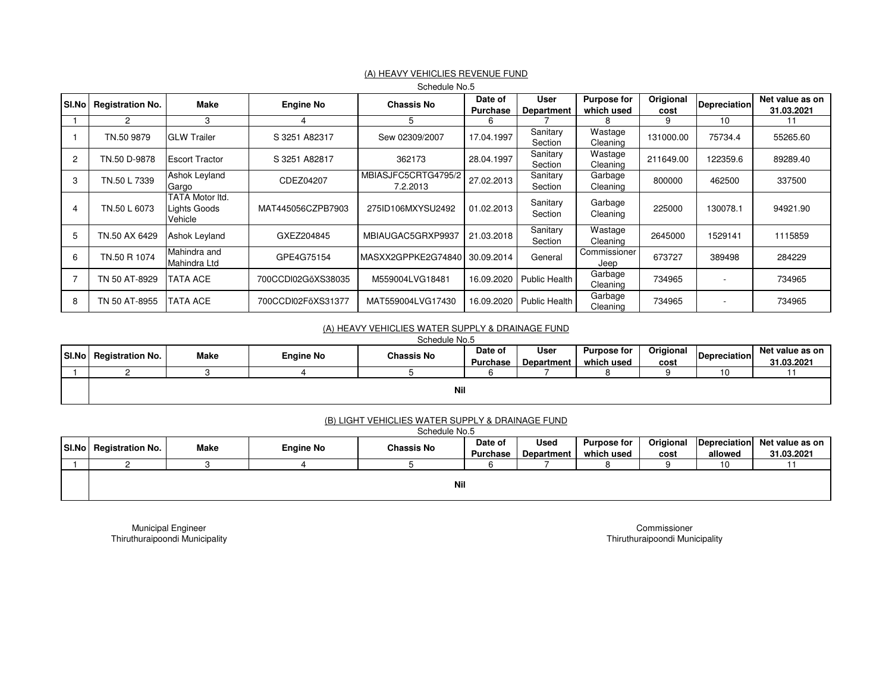|                |                         |                                            |                    | Schedule No.5                   |                            |                           |                                  |                   |                          |                               |
|----------------|-------------------------|--------------------------------------------|--------------------|---------------------------------|----------------------------|---------------------------|----------------------------------|-------------------|--------------------------|-------------------------------|
| SI.No          | <b>Registration No.</b> | Make                                       | <b>Engine No</b>   | <b>Chassis No</b>               | Date of<br><b>Purchase</b> | User<br><b>Department</b> | <b>Purpose for</b><br>which used | Origional<br>cost | <b>Depreciation</b>      | Net value as on<br>31.03.2021 |
|                | 2                       | 3                                          | 4                  | 5                               | 6                          |                           |                                  | 9                 | 10                       |                               |
|                | TN.50 9879              | <b>GLW Trailer</b>                         | S 3251 A82317      | Sew 02309/2007                  | 17.04.1997                 | Sanitary<br>Section       | Wastage<br>Cleaning              | 131000.00         | 75734.4                  | 55265.60                      |
| $\overline{2}$ | TN.50 D-9878            | <b>Escort Tractor</b>                      | S 3251 A82817      | 362173                          | 28.04.1997                 | Sanitary<br>Section       | Wastage<br>Cleaning              | 211649.00         | 122359.6                 | 89289.40                      |
| 3              | TN.50 L 7339            | Ashok Leyland<br>Gargo                     | CDEZ04207          | MBIASJFC5CRTG4795/2<br>7.2.2013 | 27.02.2013                 | Sanitary<br>Section       | Garbage<br>Cleaning              | 800000            | 462500                   | 337500                        |
| 4              | TN.50 L 6073            | TATA Motor Itd.<br>Lights Goods<br>Vehicle | MAT445056CZPB7903  | 275ID106MXYSU2492               | 01.02.2013                 | Sanitary<br>Section       | Garbage<br>Cleaning              | 225000            | 130078.1                 | 94921.90                      |
| 5              | TN.50 AX 6429           | <b>Ashok Leyland</b>                       | GXEZ204845         | MBIAUGAC5GRXP9937               | 21.03.2018                 | Sanitary<br>Section       | Wastage<br>Cleaning              | 2645000           | 1529141                  | 1115859                       |
| 6              | TN.50 R 1074            | Mahindra and<br>Mahindra Ltd               | GPE4G75154         | IMASXX2GPPKE2G74840             | 30.09.2014                 | General                   | Commissioner<br>Jeep             | 673727            | 389498                   | 284229                        |
|                | TN 50 AT-8929           | TATA ACE                                   | 700CCDI02GõXS38035 | M559004LVG18481                 | 16.09.2020                 | <b>Public Health</b>      | Garbage<br>Cleaning              | 734965            | $\overline{\phantom{a}}$ | 734965                        |
| 8              | TN 50 AT-8955           | TATA ACE                                   | 700CCDI02FoXS31377 | MAT559004LVG17430               | 16.09.2020                 | <b>Public Health</b>      | Garbage<br>Cleaning              | 734965            | $\overline{\phantom{a}}$ | 734965                        |

### (A) HEAVY VEHICLIES REVENUE FUND

#### (A) HEAVY VEHICLIES WATER SUPPLY & DRAINAGE FUND

Schedule No.5

| SI.No | <b>Registration No.</b> | Make | <b>Engine No</b> | <b>Chassis No</b> | Date of<br>Purchase | User<br><b>Department</b> | <b>Purpose for</b><br>which used | Origional<br>cost | <b>Depreciation</b> | Net value as on<br>31.03.2021 |
|-------|-------------------------|------|------------------|-------------------|---------------------|---------------------------|----------------------------------|-------------------|---------------------|-------------------------------|
|       |                         |      |                  |                   |                     |                           |                                  |                   | 10                  |                               |
|       | Nil                     |      |                  |                   |                     |                           |                                  |                   |                     |                               |

#### (B) LIGHT VEHICLIES WATER SUPPLY & DRAINAGE FUND

|  | SI.No   Registration No.<br>Make |                  |                   | Date of         | <b>Used</b> | <b>Purpose for</b> | Origional |         | Depreciation Net value as on |  |
|--|----------------------------------|------------------|-------------------|-----------------|-------------|--------------------|-----------|---------|------------------------------|--|
|  |                                  | <b>Engine No</b> | <b>Chassis No</b> | <b>Purchase</b> | Department  | which used         | cost      | allowed | 31.03.2021                   |  |
|  |                                  |                  |                   |                 |             |                    |           |         | 10                           |  |
|  | Nil                              |                  |                   |                 |             |                    |           |         |                              |  |

Municipal Engineer Thiruthuraipoondi Municipality

CommissionerThiruthuraipoondi Municipality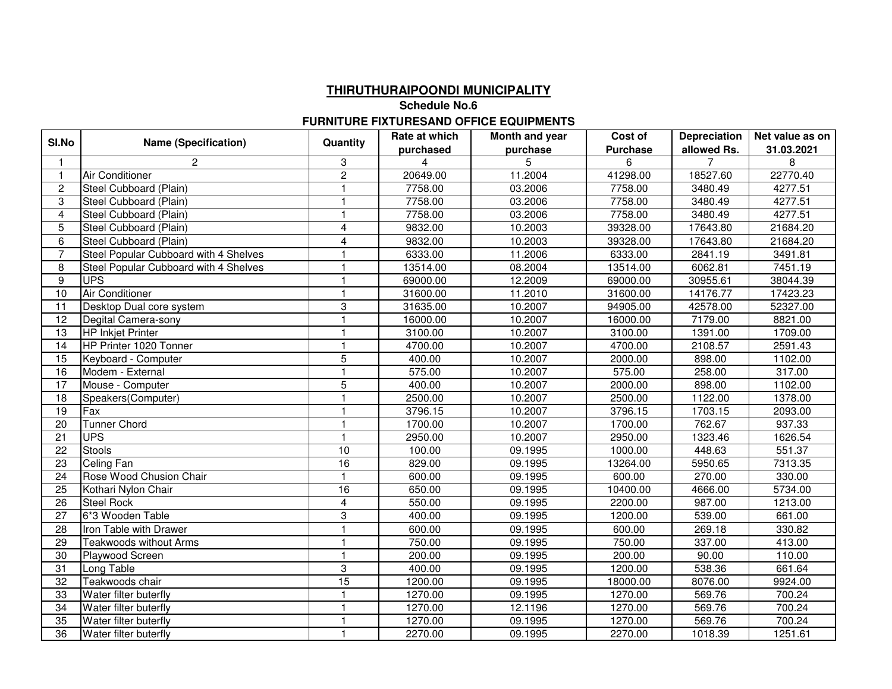## **THIRUTHURAIPOONDI MUNICIPALITY**

**Schedule No.6**

#### **FURNITURE FIXTURESAND OFFICE EQUIPMENTS**

| SI.No          | <b>Name (Specification)</b>           | Quantity                | Rate at which | Month and year | Cost of         | <b>Depreciation</b> | Net value as on     |
|----------------|---------------------------------------|-------------------------|---------------|----------------|-----------------|---------------------|---------------------|
|                |                                       |                         | purchased     | purchase       | <b>Purchase</b> | allowed Rs.         | 31.03.2021          |
|                | 2                                     | 3                       | 4             | 5              | 6               | $\overline{7}$      | 8                   |
|                | <b>Air Conditioner</b>                | $\overline{c}$          | 20649.00      | 11.2004        | 41298.00        | 18527.60            | 22770.40            |
| $\overline{2}$ | Steel Cubboard (Plain)                | $\mathbf{1}$            | 7758.00       | 03.2006        | 7758.00         | 3480.49             | 4277.51             |
| 3              | Steel Cubboard (Plain)                | $\overline{\mathbf{1}}$ | 7758.00       | 03.2006        | 7758.00         | 3480.49             | 4277.51             |
| $\overline{4}$ | Steel Cubboard (Plain)                | $\mathbf{1}$            | 7758.00       | 03.2006        | 7758.00         | 3480.49             | 4277.51             |
| 5              | Steel Cubboard (Plain)                | 4                       | 9832.00       | 10.2003        | 39328.00        | 17643.80            | 21684.20            |
| 6              | Steel Cubboard (Plain)                | $\overline{4}$          | 9832.00       | 10.2003        | 39328.00        | 17643.80            | 21684.20            |
| 7              | Steel Popular Cubboard with 4 Shelves | $\overline{\mathbf{1}}$ | 6333.00       | 11.2006        | 6333.00         | 2841.19             | 3491.81             |
| 8              | Steel Popular Cubboard with 4 Shelves | $\overline{1}$          | 13514.00      | 08.2004        | 13514.00        | 6062.81             | 7451.19             |
| 9              | <b>UPS</b>                            | $\overline{1}$          | 69000.00      | 12.2009        | 69000.00        | 30955.61            | 38044.39            |
| 10             | <b>Air Conditioner</b>                | $\mathbf{1}$            | 31600.00      | 11.2010        | 31600.00        | 14176.77            | 17423.23            |
| 11             | Desktop Dual core system              | $\,3$                   | 31635.00      | 10.2007        | 94905.00        | 42578.00            | 52327.00            |
| 12             | Degital Camera-sony                   | $\mathbf{1}$            | 16000.00      | 10.2007        | 16000.00        | 7179.00             | 8821.00             |
| 13             | <b>HP Inkjet Printer</b>              | $\mathbf{1}$            | 3100.00       | 10.2007        | 3100.00         | 1391.00             | 1709.00             |
| 14             | HP Printer 1020 Tonner                | $\overline{\mathbf{1}}$ | 4700.00       | 10.2007        | 4700.00         | 2108.57             | 2591.43             |
| 15             | Keyboard - Computer                   | $\overline{5}$          | 400.00        | 10.2007        | 2000.00         | 898.00              | 1102.00             |
| 16             | Modem - External                      | $\mathbf{1}$            | 575.00        | 10.2007        | 575.00          | 258.00              | 317.00              |
| 17             | Mouse - Computer                      | 5                       | 400.00        | 10.2007        | 2000.00         | 898.00              | 1102.00             |
| 18             | Speakers(Computer)                    | $\overline{1}$          | 2500.00       | 10.2007        | 2500.00         | 1122.00             | 1378.00             |
| 19             | Fax                                   | $\overline{1}$          | 3796.15       | 10.2007        | 3796.15         | 1703.15             | 2093.00             |
| 20             | Tunner Chord                          | $\overline{\mathbf{1}}$ | 1700.00       | 10.2007        | 1700.00         | 762.67              | $\overline{937.33}$ |
| 21             | <b>UPS</b>                            | $\overline{1}$          | 2950.00       | 10.2007        | 2950.00         | 1323.46             | 1626.54             |
| 22             | <b>Stools</b>                         | 10                      | 100.00        | 09.1995        | 1000.00         | 448.63              | 551.37              |
| 23             | Celing Fan                            | 16                      | 829.00        | 09.1995        | 13264.00        | 5950.65             | 7313.35             |
| 24             | Rose Wood Chusion Chair               | $\mathbf{1}$            | 600.00        | 09.1995        | 600.00          | 270.00              | 330.00              |
| 25             | Kothari Nylon Chair                   | 16                      | 650.00        | 09.1995        | 10400.00        | 4666.00             | 5734.00             |
| 26             | <b>Steel Rock</b>                     | $\overline{\mathbf{4}}$ | 550.00        | 09.1995        | 2200.00         | 987.00              | 1213.00             |
| 27             | 6*3 Wooden Table                      | 3                       | 400.00        | 09.1995        | 1200.00         | 539.00              | 661.00              |
| 28             | Iron Table with Drawer                | $\overline{1}$          | 600.00        | 09.1995        | 600.00          | 269.18              | 330.82              |
| 29             | <b>Teakwoods without Arms</b>         | $\overline{1}$          | 750.00        | 09.1995        | 750.00          | 337.00              | 413.00              |
| 30             | Playwood Screen                       | $\overline{1}$          | 200.00        | 09.1995        | 200.00          | 90.00               | 110.00              |
| 31             | Long Table                            | 3                       | 400.00        | 09.1995        | 1200.00         | 538.36              | 661.64              |
| 32             | Teakwoods chair                       | 15                      | 1200.00       | 09.1995        | 18000.00        | 8076.00             | 9924.00             |
| 33             | Water filter buterfly                 | $\overline{1}$          | 1270.00       | 09.1995        | 1270.00         | 569.76              | 700.24              |
| 34             | Water filter buterfly                 | $\overline{\mathbf{1}}$ | 1270.00       | 12.1196        | 1270.00         | 569.76              | 700.24              |
| 35             | Water filter buterfly                 | $\overline{\mathbf{1}}$ | 1270.00       | 09.1995        | 1270.00         | 569.76              | 700.24              |
| 36             | Water filter buterfly                 | $\overline{1}$          | 2270.00       | 09.1995        | 2270.00         | 1018.39             | 1251.61             |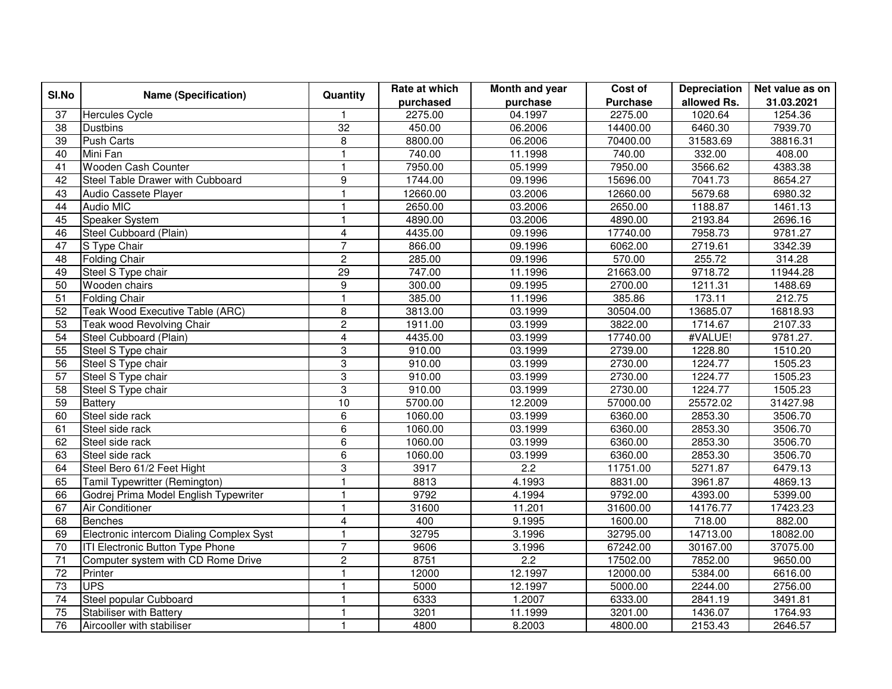| SI.No           | <b>Name (Specification)</b>              | Quantity                  | Rate at which | Month and year   | Cost of         | <b>Depreciation</b> | Net value as on |
|-----------------|------------------------------------------|---------------------------|---------------|------------------|-----------------|---------------------|-----------------|
|                 |                                          |                           | purchased     | purchase         | <b>Purchase</b> | allowed Rs.         | 31.03.2021      |
| 37              | <b>Hercules Cycle</b>                    | $\mathbf{1}$              | 2275.00       | 04.1997          | 2275.00         | 1020.64             | 1254.36         |
| 38              | <b>Dustbins</b>                          | 32                        | 450.00        | 06.2006          | 14400.00        | 6460.30             | 7939.70         |
| 39              | <b>Push Carts</b>                        | 8                         | 8800.00       | 06.2006          | 70400.00        | 31583.69            | 38816.31        |
| 40              | Mini Fan                                 | $\mathbf{1}$              | 740.00        | 11.1998          | 740.00          | 332.00              | 408.00          |
| 41              | Wooden Cash Counter                      | $\mathbf{1}$              | 7950.00       | 05.1999          | 7950.00         | 3566.62             | 4383.38         |
| 42              | Steel Table Drawer with Cubboard         | $\overline{9}$            | 1744.00       | 09.1996          | 15696.00        | 7041.73             | 8654.27         |
| 43              | Audio Cassete Player                     | $\mathbf{1}$              | 12660.00      | 03.2006          | 12660.00        | 5679.68             | 6980.32         |
| 44              | <b>Audio MIC</b>                         | $\mathbf{1}$              | 2650.00       | 03.2006          | 2650.00         | 1188.87             | 1461.13         |
| 45              | Speaker System                           | $\mathbf{1}$              | 4890.00       | 03.2006          | 4890.00         | 2193.84             | 2696.16         |
| 46              | Steel Cubboard (Plain)                   | $\overline{4}$            | 4435.00       | 09.1996          | 17740.00        | 7958.73             | 9781.27         |
| 47              | S Type Chair                             | $\overline{7}$            | 866.00        | 09.1996          | 6062.00         | 2719.61             | 3342.39         |
| 48              | <b>Folding Chair</b>                     | $\overline{c}$            | 285.00        | 09.1996          | 570.00          | 255.72              | 314.28          |
| 49              | Steel S Type chair                       | $\overline{29}$           | 747.00        | 11.1996          | 21663.00        | 9718.72             | 11944.28        |
| 50              | Wooden chairs                            | 9                         | 300.00        | 09.1995          | 2700.00         | 1211.31             | 1488.69         |
| 51              | <b>Folding Chair</b>                     | $\overline{\mathbf{1}}$   | 385.00        | 11.1996          | 385.86          | 173.11              | 212.75          |
| $\overline{52}$ | Teak Wood Executive Table (ARC)          | 8                         | 3813.00       | 03.1999          | 30504.00        | 13685.07            | 16818.93        |
| $\overline{53}$ | Teak wood Revolving Chair                | $\overline{2}$            | 1911.00       | 03.1999          | 3822.00         | 1714.67             | 2107.33         |
| 54              | Steel Cubboard (Plain)                   | $\overline{4}$            | 4435.00       | 03.1999          | 17740.00        | #VALUE!             | 9781.27.        |
| $\overline{55}$ | Steel S Type chair                       | $\,3$                     | 910.00        | 03.1999          | 2739.00         | 1228.80             | 1510.20         |
| $\overline{56}$ | Steel S Type chair                       | $\ensuremath{\mathsf{3}}$ | 910.00        | 03.1999          | 2730.00         | 1224.77             | 1505.23         |
| $\overline{57}$ | Steel S Type chair                       | $\overline{3}$            | 910.00        | 03.1999          | 2730.00         | 1224.77             | 1505.23         |
| 58              | Steel S Type chair                       | 3                         | 910.00        | 03.1999          | 2730.00         | 1224.77             | 1505.23         |
| $\overline{59}$ | <b>Battery</b>                           | 10                        | 5700.00       | 12.2009          | 57000.00        | 25572.02            | 31427.98        |
| 60              | Steel side rack                          | 6                         | 1060.00       | 03.1999          | 6360.00         | 2853.30             | 3506.70         |
| 61              | Steel side rack                          | $\,6$                     | 1060.00       | 03.1999          | 6360.00         | 2853.30             | 3506.70         |
| 62              | Steel side rack                          | $\overline{6}$            | 1060.00       | 03.1999          | 6360.00         | 2853.30             | 3506.70         |
| 63              | Steel side rack                          | 6                         | 1060.00       | 03.1999          | 6360.00         | 2853.30             | 3506.70         |
| 64              | Steel Bero 61/2 Feet Hight               | $\overline{3}$            | 3917          | $\overline{2.2}$ | 11751.00        | 5271.87             | 6479.13         |
| 65              | Tamil Typewritter (Remington)            | $\mathbf{1}$              | 8813          | 4.1993           | 8831.00         | 3961.87             | 4869.13         |
| 66              | Godrej Prima Model English Typewriter    | $\mathbf{1}$              | 9792          | 4.1994           | 9792.00         | 4393.00             | 5399.00         |
| 67              | <b>Air Conditioner</b>                   | $\mathbf{1}$              | 31600         | 11.201           | 31600.00        | 14176.77            | 17423.23        |
| 68              | <b>Benches</b>                           | $\overline{\mathbf{4}}$   | 400           | 9.1995           | 1600.00         | 718.00              | 882.00          |
| 69              | Electronic intercom Dialing Complex Syst | $\mathbf{1}$              | 32795         | 3.1996           | 32795.00        | 14713.00            | 18082.00        |
| $\overline{70}$ | ITI Electronic Button Type Phone         | $\overline{7}$            | 9606          | 3.1996           | 67242.00        | 30167.00            | 37075.00        |
| 71              | Computer system with CD Rome Drive       | $\overline{2}$            | 8751          | 2.2              | 17502.00        | 7852.00             | 9650.00         |
| $\overline{72}$ | Printer                                  | $\mathbf{1}$              | 12000         | 12.1997          | 12000.00        | 5384.00             | 6616.00         |
| $\overline{73}$ | <b>UPS</b>                               | $\mathbf{1}$              | 5000          | 12.1997          | 5000.00         | 2244.00             | 2756.00         |
| $\overline{74}$ | Steel popular Cubboard                   | $\mathbf{1}$              | 6333          | 1.2007           | 6333.00         | 2841.19             | 3491.81         |
| $\overline{75}$ | <b>Stabiliser with Battery</b>           | $\mathbf{1}$              | 3201          | 11.1999          | 3201.00         | 1436.07             | 1764.93         |
| 76              | Aircooller with stabiliser               | $\overline{1}$            | 4800          | 8.2003           | 4800.00         | 2153.43             | 2646.57         |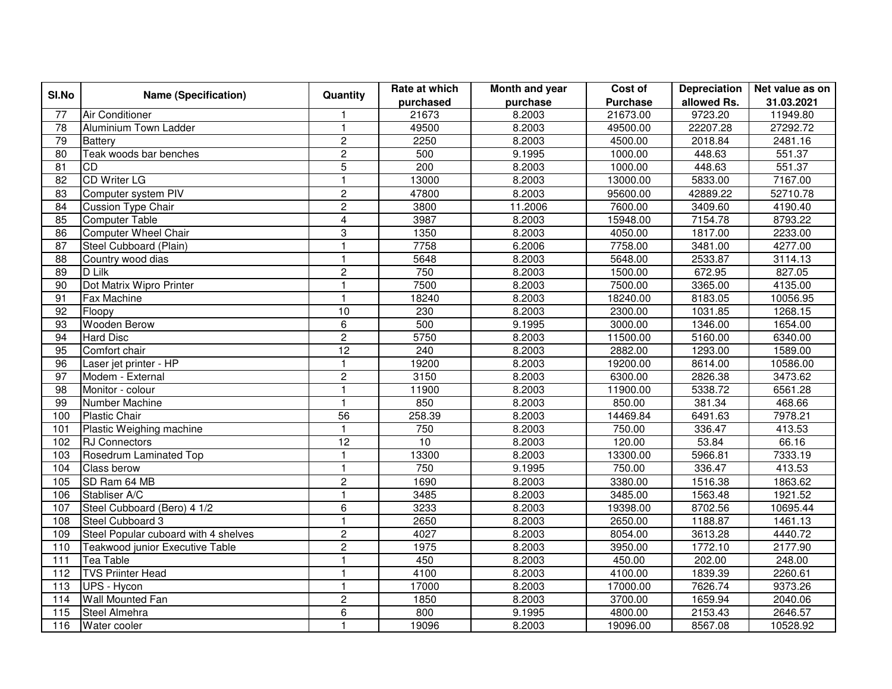| SI.No             | <b>Name (Specification)</b>          | Quantity                | Rate at which | Month and year | Cost of         | Depreciation | Net value as on |
|-------------------|--------------------------------------|-------------------------|---------------|----------------|-----------------|--------------|-----------------|
|                   |                                      |                         | purchased     | purchase       | <b>Purchase</b> | allowed Rs.  | 31.03.2021      |
| 77                | Air Conditioner                      | $\overline{1}$          | 21673         | 8.2003         | 21673.00        | 9723.20      | 11949.80        |
| 78                | Aluminium Town Ladder                | $\overline{1}$          | 49500         | 8.2003         | 49500.00        | 22207.28     | 27292.72        |
| 79                | <b>Battery</b>                       | $\overline{2}$          | 2250          | 8.2003         | 4500.00         | 2018.84      | 2481.16         |
| 80                | Teak woods bar benches               | $\overline{c}$          | 500           | 9.1995         | 1000.00         | 448.63       | 551.37          |
| 81                | <b>CD</b>                            | 5                       | 200           | 8.2003         | 1000.00         | 448.63       | 551.37          |
| 82                | <b>CD Writer LG</b>                  | $\overline{1}$          | 13000         | 8.2003         | 13000.00        | 5833.00      | 7167.00         |
| 83                | Computer system PIV                  | $\overline{c}$          | 47800         | 8.2003         | 95600.00        | 42889.22     | 52710.78        |
| 84                | <b>Cussion Type Chair</b>            | $\overline{2}$          | 3800          | 11.2006        | 7600.00         | 3409.60      | 4190.40         |
| 85                | <b>Computer Table</b>                | $\overline{\mathbf{4}}$ | 3987          | 8.2003         | 15948.00        | 7154.78      | 8793.22         |
| 86                | <b>Computer Wheel Chair</b>          | 3                       | 1350          | 8.2003         | 4050.00         | 1817.00      | 2233.00         |
| $\overline{87}$   | Steel Cubboard (Plain)               | $\mathbf{1}$            | 7758          | 6.2006         | 7758.00         | 3481.00      | 4277.00         |
| 88                | Country wood dias                    | $\overline{1}$          | 5648          | 8.2003         | 5648.00         | 2533.87      | 3114.13         |
| 89                | D Lilk                               | $\overline{2}$          | 750           | 8.2003         | 1500.00         | 672.95       | 827.05          |
| 90                | Dot Matrix Wipro Printer             | $\overline{1}$          | 7500          | 8.2003         | 7500.00         | 3365.00      | 4135.00         |
| 91                | Fax Machine                          | $\overline{1}$          | 18240         | 8.2003         | 18240.00        | 8183.05      | 10056.95        |
| 92                | Floopy                               | 10                      | 230           | 8.2003         | 2300.00         | 1031.85      | 1268.15         |
| 93                | <b>Wooden Berow</b>                  | 6                       | 500           | 9.1995         | 3000.00         | 1346.00      | 1654.00         |
| 94                | <b>Hard Disc</b>                     | $\overline{2}$          | 5750          | 8.2003         | 11500.00        | 5160.00      | 6340.00         |
| 95                | Comfort chair                        | $\overline{12}$         | 240           | 8.2003         | 2882.00         | 1293.00      | 1589.00         |
| 96                | Laser jet printer - HP               | $\overline{1}$          | 19200         | 8.2003         | 19200.00        | 8614.00      | 10586.00        |
| $\overline{97}$   | Modem - External                     | $\overline{2}$          | 3150          | 8.2003         | 6300.00         | 2826.38      | 3473.62         |
| 98                | Monitor - colour                     | $\overline{1}$          | 11900         | 8.2003         | 11900.00        | 5338.72      | 6561.28         |
| 99                | Number Machine                       | $\overline{1}$          | 850           | 8.2003         | 850.00          | 381.34       | 468.66          |
| 100               | <b>Plastic Chair</b>                 | 56                      | 258.39        | 8.2003         | 14469.84        | 6491.63      | 7978.21         |
| 101               | Plastic Weighing machine             | $\overline{1}$          | 750           | 8.2003         | 750.00          | 336.47       | 413.53          |
| 102               | <b>RJ</b> Connectors                 | 12                      | 10            | 8.2003         | 120.00          | 53.84        | 66.16           |
| 103               | Rosedrum Laminated Top               | $\overline{1}$          | 13300         | 8.2003         | 13300.00        | 5966.81      | 7333.19         |
| 104               | Class berow                          | $\mathbf{1}$            | 750           | 9.1995         | 750.00          | 336.47       | 413.53          |
| 105               | SD Ram 64 MB                         | $\overline{c}$          | 1690          | 8.2003         | 3380.00         | 1516.38      | 1863.62         |
| 106               | Stabliser A/C                        | $\overline{1}$          | 3485          | 8.2003         | 3485.00         | 1563.48      | 1921.52         |
| 107               | Steel Cubboard (Bero) 4 1/2          | $\overline{6}$          | 3233          | 8.2003         | 19398.00        | 8702.56      | 10695.44        |
| 108               | Steel Cubboard 3                     | $\mathbf{1}$            | 2650          | 8.2003         | 2650.00         | 1188.87      | 1461.13         |
| 109               | Steel Popular cuboard with 4 shelves | $\boldsymbol{2}$        | 4027          | 8.2003         | 8054.00         | 3613.28      | 4440.72         |
| 110               | Teakwood junior Executive Table      | $\overline{2}$          | 1975          | 8.2003         | 3950.00         | 1772.10      | 2177.90         |
| 111               | <b>Tea Table</b>                     | $\overline{1}$          | 450           | 8.2003         | 450.00          | 202.00       | 248.00          |
| $\frac{112}{112}$ | <b>TVS Priinter Head</b>             | $\mathbf{1}$            | 4100          | 8.2003         | 4100.00         | 1839.39      | 2260.61         |
| 113               | UPS - Hycon                          | $\mathbf{1}$            | 17000         | 8.2003         | 17000.00        | 7626.74      | 9373.26         |
| 114               | <b>Wall Mounted Fan</b>              | $\boldsymbol{2}$        | 1850          | 8.2003         | 3700.00         | 1659.94      | 2040.06         |
| 115               | Steel Almehra                        | 6                       | 800           | 9.1995         | 4800.00         | 2153.43      | 2646.57         |
| 116               | Water cooler                         | $\overline{1}$          | 19096         | 8.2003         | 19096.00        | 8567.08      | 10528.92        |